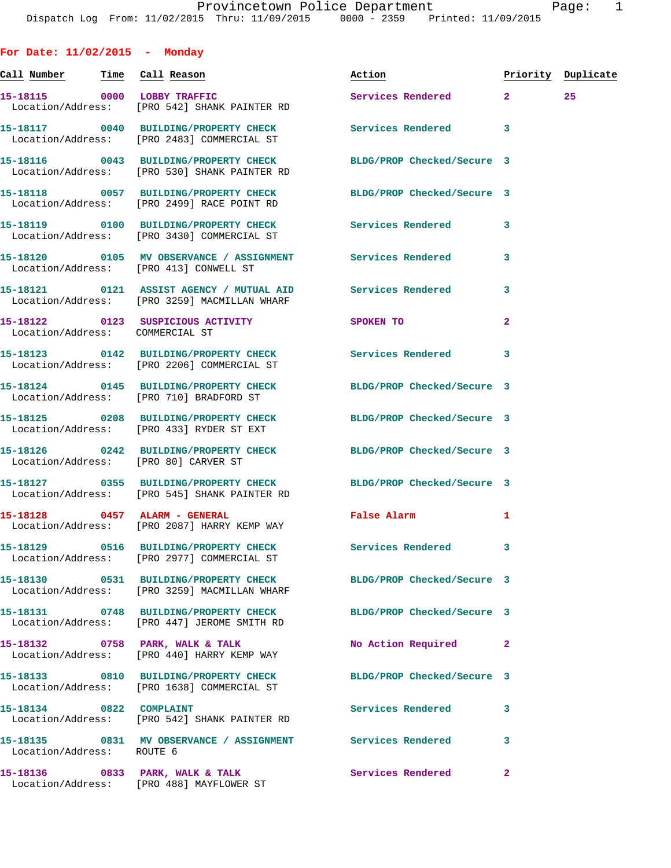**For Date: 11/02/2015 - Monday Call Number Time Call Reason Action Priority Duplicate 15-18115 0000 LOBBY TRAFFIC Services Rendered 2 25**  Location/Address: [PRO 542] SHANK PAINTER RD **15-18117 0040 BUILDING/PROPERTY CHECK Services Rendered 3**  Location/Address: [PRO 2483] COMMERCIAL ST **15-18116 0043 BUILDING/PROPERTY CHECK BLDG/PROP Checked/Secure 3**  Location/Address: [PRO 530] SHANK PAINTER RD **15-18118 0057 BUILDING/PROPERTY CHECK BLDG/PROP Checked/Secure 3**  Location/Address: [PRO 2499] RACE POINT RD **15-18119 0100 BUILDING/PROPERTY CHECK Services Rendered 3**  Location/Address: [PRO 3430] COMMERCIAL ST **15-18120 0105 MV OBSERVANCE / ASSIGNMENT Services Rendered 3**  Location/Address: [PRO 413] CONWELL ST **15-18121 0121 ASSIST AGENCY / MUTUAL AID Services Rendered 3**  Location/Address: [PRO 3259] MACMILLAN WHARF **15-18122 0123 SUSPICIOUS ACTIVITY SPOKEN TO 2**  Location/Address: COMMERCIAL ST **15-18123 0142 BUILDING/PROPERTY CHECK Services Rendered 3**  Location/Address: [PRO 2206] COMMERCIAL ST **15-18124 0145 BUILDING/PROPERTY CHECK BLDG/PROP Checked/Secure 3**  Location/Address: [PRO 710] BRADFORD ST **15-18125 0208 BUILDING/PROPERTY CHECK BLDG/PROP Checked/Secure 3**  Location/Address: [PRO 433] RYDER ST EXT **15-18126 0242 BUILDING/PROPERTY CHECK BLDG/PROP Checked/Secure 3**  Location/Address: [PRO 80] CARVER ST **15-18127 0355 BUILDING/PROPERTY CHECK BLDG/PROP Checked/Secure 3**  Location/Address: [PRO 545] SHANK PAINTER RD **15-18128 0457 ALARM - GENERAL False Alarm 1**  Location/Address: [PRO 2087] HARRY KEMP WAY **15-18129 0516 BUILDING/PROPERTY CHECK Services Rendered 3**  Location/Address: [PRO 2977] COMMERCIAL ST **15-18130 0531 BUILDING/PROPERTY CHECK BLDG/PROP Checked/Secure 3**  Location/Address: [PRO 3259] MACMILLAN WHARF **15-18131 0748 BUILDING/PROPERTY CHECK BLDG/PROP Checked/Secure 3**  Location/Address: [PRO 447] JEROME SMITH RD **15-18132 0758 PARK, WALK & TALK No Action Required 2**  Location/Address: [PRO 440] HARRY KEMP WAY **15-18133 0810 BUILDING/PROPERTY CHECK BLDG/PROP Checked/Secure 3**  Location/Address: [PRO 1638] COMMERCIAL ST 15-18134 0822 COMPLAINT **Services Rendered** 3 Location/Address: [PRO 542] SHANK PAINTER RD **15-18135 0831 MV OBSERVANCE / ASSIGNMENT Services Rendered 3**  Location/Address: ROUTE 6 **15-18136 0833 PARK, WALK & TALK Services Rendered 2** 

Location/Address: [PRO 488] MAYFLOWER ST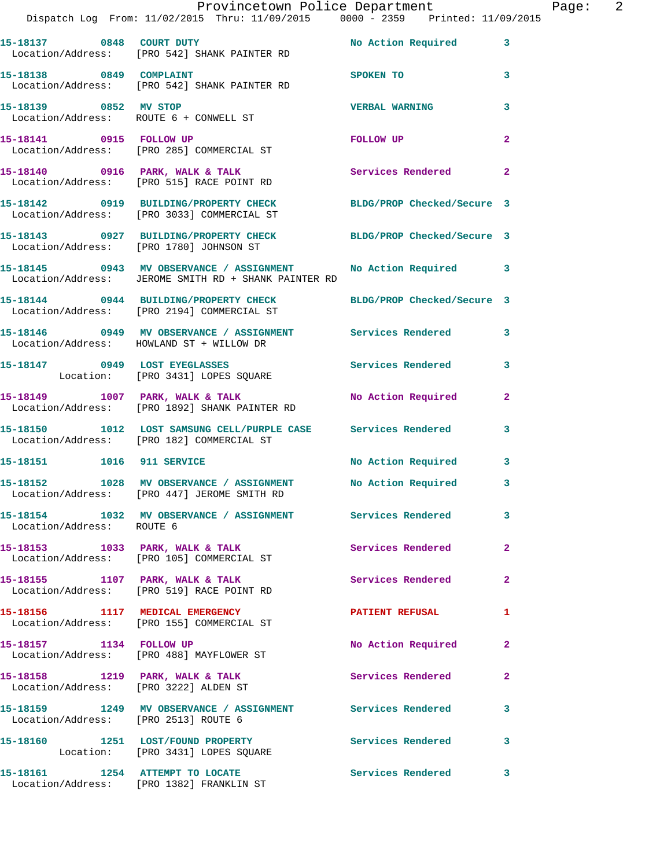|                                      | Dispatch Log From: 11/02/2015 Thru: 11/09/2015 0000 - 2359 Printed: 11/09/2015                                      | Provincetown Police Department |                | Page: 2 |  |
|--------------------------------------|---------------------------------------------------------------------------------------------------------------------|--------------------------------|----------------|---------|--|
|                                      | 15-18137 0848 COURT DUTY No Action Required 3<br>Location/Address: [PRO 542] SHANK PAINTER RD                       |                                |                |         |  |
| 15-18138 0849 COMPLAINT              | Location/Address: [PRO 542] SHANK PAINTER RD                                                                        | SPOKEN TO                      | $\mathbf{3}$   |         |  |
| 15-18139 0852 MV STOP                | Location/Address: ROUTE 6 + CONWELL ST                                                                              | <b>VERBAL WARNING</b>          | 3              |         |  |
|                                      | 15-18141 0915 FOLLOW UP<br>Location/Address: [PRO 285] COMMERCIAL ST                                                | FOLLOW UP                      | $\mathbf{2}$   |         |  |
|                                      | 15-18140 0916 PARK, WALK & TALK<br>Location/Address: [PRO 515] RACE POINT RD                                        | Services Rendered              | $\mathbf{2}$   |         |  |
|                                      | 15-18142 0919 BUILDING/PROPERTY CHECK BLDG/PROP Checked/Secure 3<br>Location/Address: [PRO 3033] COMMERCIAL ST      |                                |                |         |  |
|                                      | 15-18143 0927 BUILDING/PROPERTY CHECK BLDG/PROP Checked/Secure 3<br>Location/Address: [PRO 1780] JOHNSON ST         |                                |                |         |  |
|                                      | 15-18145 0943 MV OBSERVANCE / ASSIGNMENT No Action Required<br>Location/Address: JEROME SMITH RD + SHANK PAINTER RD |                                | 3              |         |  |
|                                      | 15-18144 0944 BUILDING/PROPERTY CHECK BLDG/PROP Checked/Secure 3<br>Location/Address: [PRO 2194] COMMERCIAL ST      |                                |                |         |  |
|                                      | 15-18146 0949 MV OBSERVANCE / ASSIGNMENT Services Rendered<br>Location/Address: HOWLAND ST + WILLOW DR              |                                | $\mathbf{3}$   |         |  |
|                                      | 15-18147 0949 LOST EYEGLASSES SQUARE Services Rendered Location: [PRO 3431] LOPES SQUARE                            |                                | 3              |         |  |
|                                      | 15-18149 1007 PARK, WALK & TALK NO Action Required<br>Location/Address: [PRO 1892] SHANK PAINTER RD                 |                                | $\mathbf{2}$   |         |  |
|                                      | 15-18150 1012 LOST SAMSUNG CELL/PURPLE CASE Services Rendered<br>Location/Address: [PRO 182] COMMERCIAL ST          |                                | $\mathbf{3}$   |         |  |
|                                      | 15-18151 1016 911 SERVICE                                                                                           | No Action Required             | 3              |         |  |
|                                      | 15-18152 1028 MV OBSERVANCE / ASSIGNMENT No Action Required<br>Location/Address: [PRO 447] JEROME SMITH RD          |                                | $\mathbf{3}$   |         |  |
| Location/Address: ROUTE 6            | 15-18154 1032 MV OBSERVANCE / ASSIGNMENT Services Rendered                                                          |                                | 3              |         |  |
|                                      | 15-18153 1033 PARK, WALK & TALK<br>Location/Address: [PRO 105] COMMERCIAL ST                                        | Services Rendered              | $\mathbf{2}$   |         |  |
|                                      | 15-18155 1107 PARK, WALK & TALK<br>Location/Address: [PRO 519] RACE POINT RD                                        | Services Rendered              | $\mathbf{2}$   |         |  |
|                                      | 15-18156 1117 MEDICAL EMERGENCY<br>Location/Address: [PRO 155] COMMERCIAL ST                                        | <b>PATIENT REFUSAL</b>         | 1              |         |  |
|                                      | 15-18157 1134 FOLLOW UP<br>Location/Address: [PRO 488] MAYFLOWER ST                                                 | No Action Required             | $\mathbf{2}$   |         |  |
|                                      | 15-18158 1219 PARK, WALK & TALK<br>Location/Address: [PRO 3222] ALDEN ST                                            | Services Rendered              | $\overline{2}$ |         |  |
| Location/Address: [PRO 2513] ROUTE 6 | 15-18159 1249 MV OBSERVANCE / ASSIGNMENT Services Rendered                                                          |                                | 3              |         |  |
|                                      | 15-18160 1251 LOST/FOUND PROPERTY<br>Location: [PRO 3431] LOPES SQUARE                                              | Services Rendered              | $\mathbf{3}$   |         |  |
|                                      | 15-18161 1254 ATTEMPT TO LOCATE<br>Location/Address: [PRO 1382] FRANKLIN ST                                         | Services Rendered              | 3              |         |  |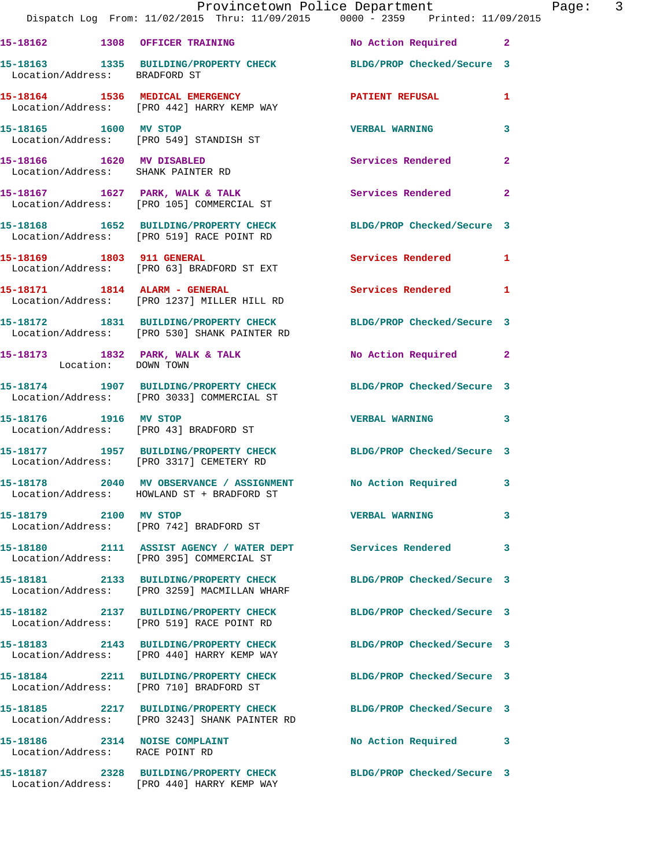|                                                                       | Provincetown Police Department<br>Dispatch Log From: 11/02/2015 Thru: 11/09/2015 0000 - 2359 Printed: 11/09/2015 |                            |                |
|-----------------------------------------------------------------------|------------------------------------------------------------------------------------------------------------------|----------------------------|----------------|
|                                                                       |                                                                                                                  | No Action Required         | $\mathbf{2}$   |
| Location/Address: BRADFORD ST                                         | 15-18163 1335 BUILDING/PROPERTY CHECK BLDG/PROP Checked/Secure 3                                                 |                            |                |
|                                                                       | 15-18164 1536 MEDICAL EMERGENCY<br>Location/Address: [PRO 442] HARRY KEMP WAY                                    | <b>PATIENT REFUSAL</b>     | 1              |
| 15-18165 1600 MV STOP                                                 | Location/Address: [PRO 549] STANDISH ST                                                                          | <b>VERBAL WARNING</b>      | 3              |
| 15-18166    1620    MV DISABLED<br>Location/Address: SHANK PAINTER RD |                                                                                                                  | Services Rendered          | $\overline{a}$ |
|                                                                       | 15-18167 1627 PARK, WALK & TALK<br>Location/Address: [PRO 105] COMMERCIAL ST                                     | <b>Services Rendered</b>   | $\overline{a}$ |
|                                                                       | 15-18168 1652 BUILDING/PROPERTY CHECK<br>Location/Address: [PRO 519] RACE POINT RD                               | BLDG/PROP Checked/Secure 3 |                |
| 15-18169 1803 911 GENERAL                                             | Location/Address: [PRO 63] BRADFORD ST EXT                                                                       | Services Rendered          | 1              |
|                                                                       | 15-18171 1814 ALARM - GENERAL<br>Location/Address: [PRO 1237] MILLER HILL RD                                     | <b>Services Rendered</b>   | 1              |
|                                                                       | 15-18172 1831 BUILDING/PROPERTY CHECK<br>Location/Address: [PRO 530] SHANK PAINTER RD                            | BLDG/PROP Checked/Secure 3 |                |
| Location: DOWN TOWN                                                   | 15-18173 1832 PARK, WALK & TALK                                                                                  | <b>No Action Required</b>  | $\mathbf{2}$   |
|                                                                       | 15-18174 1907 BUILDING/PROPERTY CHECK<br>Location/Address: [PRO 3033] COMMERCIAL ST                              | BLDG/PROP Checked/Secure 3 |                |
| 15-18176 1916 MV STOP                                                 | Location/Address: [PRO 43] BRADFORD ST                                                                           | <b>VERBAL WARNING</b>      | 3              |
|                                                                       | 15-18177 1957 BUILDING/PROPERTY CHECK<br>Location/Address: [PRO 3317] CEMETERY RD                                | BLDG/PROP Checked/Secure 3 |                |
|                                                                       | 15-18178 2040 MV OBSERVANCE / ASSIGNMENT No Action Required<br>Location/Address: HOWLAND ST + BRADFORD ST        |                            | 3              |
| 15-18179 2100 MV STOP                                                 | Location/Address: [PRO 742] BRADFORD ST                                                                          | <b>VERBAL WARNING</b>      | 3              |
|                                                                       | 15-18180 2111 ASSIST AGENCY / WATER DEPT Services Rendered<br>Location/Address: [PRO 395] COMMERCIAL ST          |                            | 3              |
|                                                                       | 15-18181 2133 BUILDING/PROPERTY CHECK<br>Location/Address: [PRO 3259] MACMILLAN WHARF                            | BLDG/PROP Checked/Secure 3 |                |
|                                                                       | 15-18182 2137 BUILDING/PROPERTY CHECK<br>Location/Address: [PRO 519] RACE POINT RD                               | BLDG/PROP Checked/Secure 3 |                |
|                                                                       | 15-18183 2143 BUILDING/PROPERTY CHECK<br>Location/Address: [PRO 440] HARRY KEMP WAY                              | BLDG/PROP Checked/Secure 3 |                |
|                                                                       | 15-18184 2211 BUILDING/PROPERTY CHECK<br>Location/Address: [PRO 710] BRADFORD ST                                 | BLDG/PROP Checked/Secure 3 |                |
|                                                                       | 15-18185 2217 BUILDING/PROPERTY CHECK<br>Location/Address: [PRO 3243] SHANK PAINTER RD                           | BLDG/PROP Checked/Secure 3 |                |
| 15-18186 2314 NOISE COMPLAINT<br>Location/Address: RACE POINT RD      |                                                                                                                  | No Action Required         | 3              |
|                                                                       | 15-18187 2328 BUILDING/PROPERTY CHECK<br>Location/Address: [PRO 440] HARRY KEMP WAY                              | BLDG/PROP Checked/Secure 3 |                |

Page: 3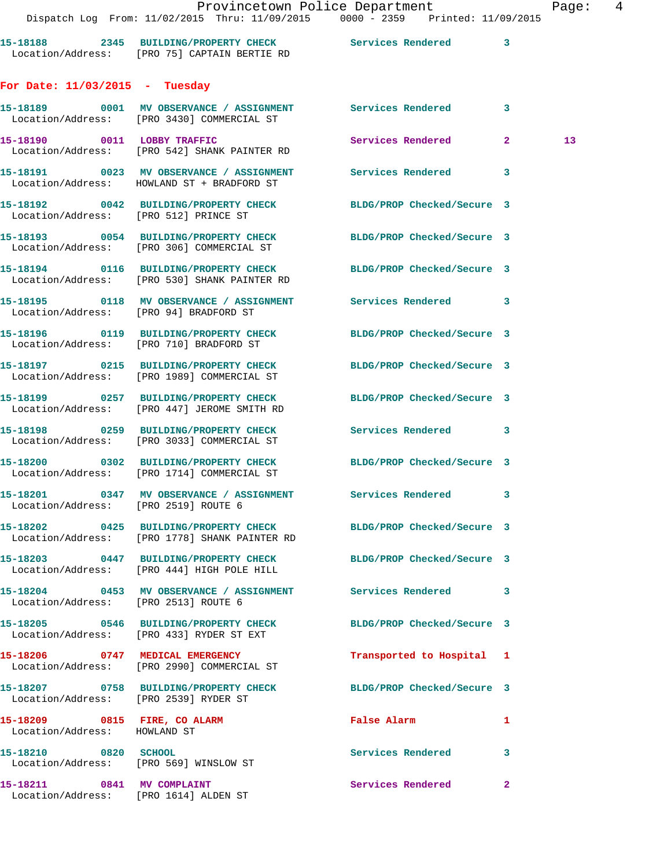|                                        | Dispatch Log From: 11/02/2015 Thru: 11/09/2015 0000 - 2359 Printed: 11/09/2015                                   | Provincetown Police Department |   | Page:           | $\overline{4}$ |
|----------------------------------------|------------------------------------------------------------------------------------------------------------------|--------------------------------|---|-----------------|----------------|
|                                        | 15-18188 2345 BUILDING/PROPERTY CHECK Services Rendered 3<br>Location/Address: [PRO 75] CAPTAIN BERTIE RD        |                                |   |                 |                |
| For Date: $11/03/2015$ - Tuesday       |                                                                                                                  |                                |   |                 |                |
|                                        | 15-18189 0001 MV OBSERVANCE / ASSIGNMENT Services Rendered 3<br>Location/Address: [PRO 3430] COMMERCIAL ST       |                                |   |                 |                |
|                                        | 15-18190 0011 LOBBY TRAFFIC Services Rendered 2<br>Location/Address: [PRO 542] SHANK PAINTER RD                  |                                |   | 13 <sub>1</sub> |                |
|                                        | 15-18191 0023 MV OBSERVANCE / ASSIGNMENT Services Rendered<br>Location/Address: HOWLAND ST + BRADFORD ST         |                                | 3 |                 |                |
| Location/Address: [PRO 512] PRINCE ST  | 15-18192 0042 BUILDING/PROPERTY CHECK BLDG/PROP Checked/Secure 3                                                 |                                |   |                 |                |
|                                        | 15-18193 0054 BUILDING/PROPERTY CHECK BLDG/PROP Checked/Secure 3<br>Location/Address: [PRO 306] COMMERCIAL ST    |                                |   |                 |                |
|                                        | 15-18194 0116 BUILDING/PROPERTY CHECK BLDG/PROP Checked/Secure 3<br>Location/Address: [PRO 530] SHANK PAINTER RD |                                |   |                 |                |
| Location/Address: [PRO 94] BRADFORD ST | 15-18195 0118 MV OBSERVANCE / ASSIGNMENT Services Rendered 3                                                     |                                |   |                 |                |
|                                        | 15-18196 0119 BUILDING/PROPERTY CHECK BLDG/PROP Checked/Secure 3<br>Location/Address: [PRO 710] BRADFORD ST      |                                |   |                 |                |
|                                        | 15-18197 0215 BUILDING/PROPERTY CHECK BLDG/PROP Checked/Secure 3<br>Location/Address: [PRO 1989] COMMERCIAL ST   |                                |   |                 |                |
|                                        | 15-18199 0257 BUILDING/PROPERTY CHECK<br>Location/Address: [PRO 447] JEROME SMITH RD                             | BLDG/PROP Checked/Secure 3     |   |                 |                |
|                                        | 15-18198 0259 BUILDING/PROPERTY CHECK Services Rendered 3<br>Location/Address: [PRO 3033] COMMERCIAL ST          |                                |   |                 |                |
|                                        | 15-18200 0302 BUILDING/PROPERTY CHECK BLDG/PROP Checked/Secure 3<br>Location/Address: [PRO 1714] COMMERCIAL ST   |                                |   |                 |                |
| Location/Address: [PRO 2519] ROUTE 6   | 15-18201 0347 MV OBSERVANCE / ASSIGNMENT Services Rendered                                                       |                                | 3 |                 |                |
|                                        | 15-18202 0425 BUILDING/PROPERTY CHECK<br>Location/Address: [PRO 1778] SHANK PAINTER RD                           | BLDG/PROP Checked/Secure 3     |   |                 |                |
|                                        | 15-18203 0447 BUILDING/PROPERTY CHECK<br>Location/Address: [PRO 444] HIGH POLE HILL                              | BLDG/PROP Checked/Secure 3     |   |                 |                |
| Location/Address: [PRO 2513] ROUTE 6   | 15-18204 0453 MV OBSERVANCE / ASSIGNMENT Services Rendered                                                       |                                | 3 |                 |                |
|                                        | 15-18205 0546 BUILDING/PROPERTY CHECK<br>Location/Address: [PRO 433] RYDER ST EXT                                | BLDG/PROP Checked/Secure 3     |   |                 |                |
|                                        | 15-18206 0747 MEDICAL EMERGENCY<br>Location/Address: [PRO 2990] COMMERCIAL ST                                    | Transported to Hospital 1      |   |                 |                |
| Location/Address: [PRO 2539] RYDER ST  | 15-18207 0758 BUILDING/PROPERTY CHECK BLDG/PROP Checked/Secure 3                                                 |                                |   |                 |                |

**15-18209 0815 FIRE, CO ALARM False Alarm 1**  Location/Address: HOWLAND ST

Location/Address: [PRO 569] WINSLOW ST

Location/Address: [PRO 1614] ALDEN ST

**15-18210 0820 SCHOOL Services Rendered 3 15-18211** 0841 MV COMPLAINT Services Rendered 2<br> **1982** Logation (Address: 1980, 1984) Marchi 2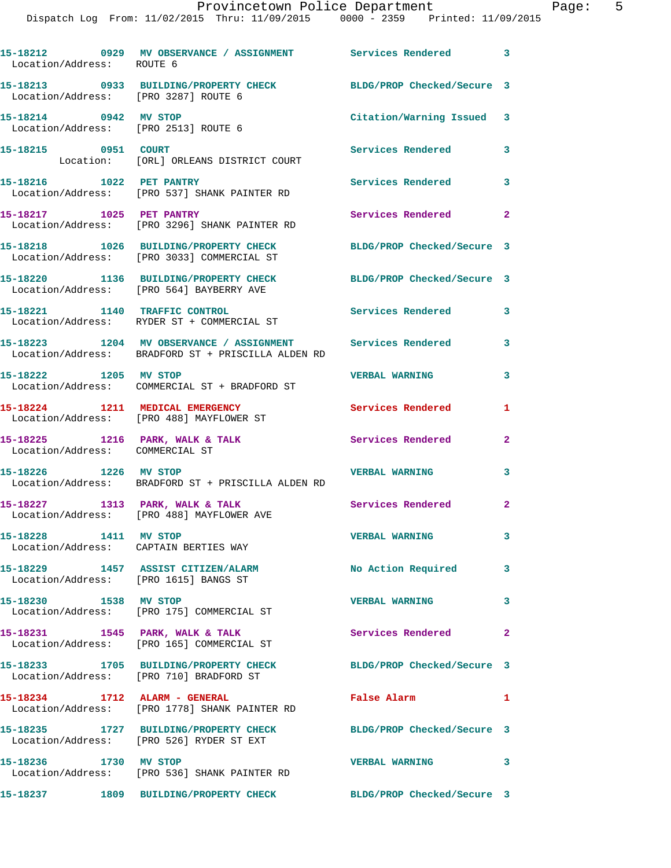|                                                                | Dispatch Log From: 11/02/2015 Thru: 11/09/2015 0000 - 2359 Printed: 11/09/2015                                   |                            |                |
|----------------------------------------------------------------|------------------------------------------------------------------------------------------------------------------|----------------------------|----------------|
| Location/Address: ROUTE 6                                      | 15-18212 0929 MV OBSERVANCE / ASSIGNMENT Services Rendered                                                       |                            | 3              |
| Location/Address: [PRO 3287] ROUTE 6                           | 15-18213 0933 BUILDING/PROPERTY CHECK BLDG/PROP Checked/Secure 3                                                 |                            |                |
| 15-18214 0942 MV STOP<br>Location/Address: [PRO 2513] ROUTE 6  |                                                                                                                  | Citation/Warning Issued    | 3              |
| 15-18215 0951 COURT                                            | Location: [ORL] ORLEANS DISTRICT COURT                                                                           | Services Rendered          | 3              |
| 15-18216 1022 PET PANTRY                                       | Location/Address: [PRO 537] SHANK PAINTER RD                                                                     | Services Rendered          | 3              |
| 15-18217 1025 PET PANTRY                                       | Location/Address: [PRO 3296] SHANK PAINTER RD                                                                    | Services Rendered          | 2              |
|                                                                | 15-18218 1026 BUILDING/PROPERTY CHECK<br>Location/Address: [PRO 3033] COMMERCIAL ST                              | BLDG/PROP Checked/Secure 3 |                |
|                                                                | 15-18220 1136 BUILDING/PROPERTY CHECK<br>Location/Address: [PRO 564] BAYBERRY AVE                                | BLDG/PROP Checked/Secure 3 |                |
|                                                                | 15-18221 1140 TRAFFIC CONTROL<br>Location/Address: RYDER ST + COMMERCIAL ST                                      | Services Rendered          | 3              |
|                                                                | 15-18223 1204 MV OBSERVANCE / ASSIGNMENT Services Rendered<br>Location/Address: BRADFORD ST + PRISCILLA ALDEN RD |                            | 3              |
| 15-18222 1205 MV STOP                                          | Location/Address: COMMERCIAL ST + BRADFORD ST                                                                    | <b>VERBAL WARNING</b>      | 3              |
|                                                                | 15-18224 1211 MEDICAL EMERGENCY<br>Location/Address: [PRO 488] MAYFLOWER ST                                      | Services Rendered          | 1              |
| Location/Address: COMMERCIAL ST                                | 15-18225 1216 PARK, WALK & TALK                                                                                  | Services Rendered          | 2              |
| 15-18226 1226 MV STOP                                          | Location/Address: BRADFORD ST + PRISCILLA ALDEN RD                                                               | <b>VERBAL WARNING</b>      | 3              |
|                                                                | 15-18227 1313 PARK, WALK & TALK<br>Location/Address: [PRO 488] MAYFLOWER AVE                                     | Services Rendered          |                |
| 15-18228 1411 MV STOP<br>Location/Address: CAPTAIN BERTIES WAY |                                                                                                                  | <b>VERBAL WARNING</b>      | 3              |
| Location/Address: [PRO 1615] BANGS ST                          | 15-18229 1457 ASSIST CITIZEN/ALARM                                                                               | No Action Required         | 3              |
| 15-18230 1538 MV STOP                                          | Location/Address: [PRO 175] COMMERCIAL ST                                                                        | <b>VERBAL WARNING</b>      | 3              |
|                                                                | 15-18231 1545 PARK, WALK & TALK<br>Location/Address: [PRO 165] COMMERCIAL ST                                     | Services Rendered          | $\overline{a}$ |
|                                                                | 15-18233 1705 BUILDING/PROPERTY CHECK<br>Location/Address: [PRO 710] BRADFORD ST                                 | BLDG/PROP Checked/Secure 3 |                |
| 15-18234 1712 ALARM - GENERAL                                  | Location/Address: [PRO 1778] SHANK PAINTER RD                                                                    | False Alarm                | 1              |
|                                                                | 15-18235 1727 BUILDING/PROPERTY CHECK BLDG/PROP Checked/Secure 3<br>Location/Address: [PRO 526] RYDER ST EXT     |                            |                |
| 15-18236 1730 MV STOP                                          | Location/Address: [PRO 536] SHANK PAINTER RD                                                                     | <b>VERBAL WARNING</b>      | 3              |
|                                                                | 15-18237 1809 BUILDING/PROPERTY CHECK                                                                            | BLDG/PROP Checked/Secure 3 |                |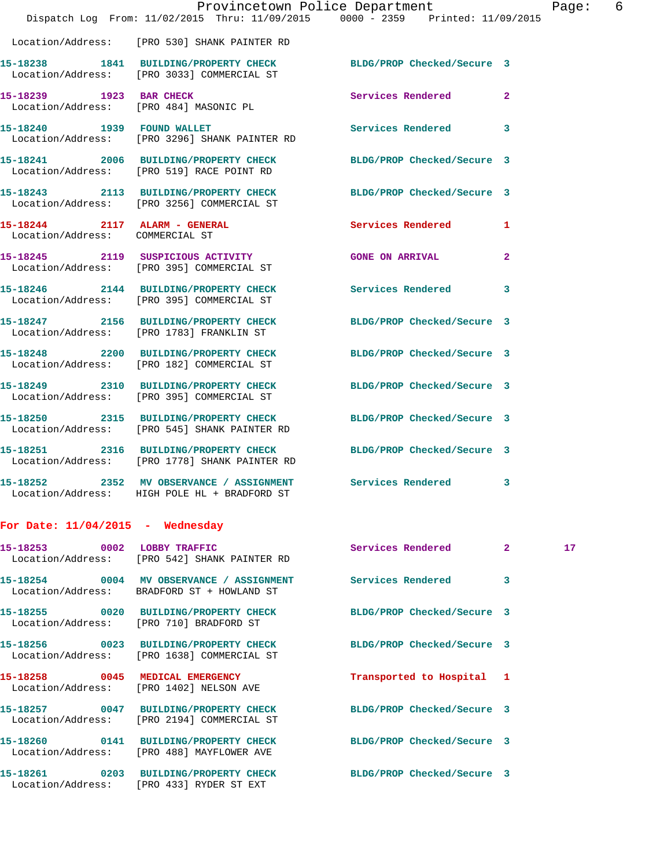|                                                  |                                                                                                                   | Provincetown Police Department |                | Page: 6 |  |
|--------------------------------------------------|-------------------------------------------------------------------------------------------------------------------|--------------------------------|----------------|---------|--|
|                                                  | Dispatch Log From: 11/02/2015 Thru: 11/09/2015 0000 - 2359 Printed: 11/09/2015                                    |                                |                |         |  |
|                                                  | Location/Address: [PRO 530] SHANK PAINTER RD                                                                      |                                |                |         |  |
|                                                  | 15-18238 1841 BUILDING/PROPERTY CHECK BLDG/PROP Checked/Secure 3<br>Location/Address: [PRO 3033] COMMERCIAL ST    |                                |                |         |  |
|                                                  | 15-18239 1923 BAR CHECK<br>Location/Address: [PRO 484] MASONIC PL                                                 | Services Rendered 2            |                |         |  |
|                                                  | 15-18240 1939 FOUND WALLET<br>Location/Address: [PRO 3296] SHANK PAINTER RD                                       | Services Rendered 3            |                |         |  |
|                                                  | 15-18241 2006 BUILDING/PROPERTY CHECK BLDG/PROP Checked/Secure 3<br>Location/Address: [PRO 519] RACE POINT RD     |                                |                |         |  |
|                                                  | 15-18243 2113 BUILDING/PROPERTY CHECK BLDG/PROP Checked/Secure 3<br>Location/Address: [PRO 3256] COMMERCIAL ST    |                                |                |         |  |
| Location/Address: COMMERCIAL ST                  | 15-18244 2117 ALARM - GENERAL Services Rendered 1                                                                 |                                |                |         |  |
|                                                  | 15-18245 2119 SUSPICIOUS ACTIVITY<br>Location/Address: [PRO 395] COMMERCIAL ST                                    | <b>GONE ON ARRIVAL</b>         | $\mathbf{2}$   |         |  |
|                                                  | 15-18246 2144 BUILDING/PROPERTY CHECK Services Rendered 3<br>Location/Address: [PRO 395] COMMERCIAL ST            |                                |                |         |  |
|                                                  | 15-18247 2156 BUILDING/PROPERTY CHECK<br>Location/Address: [PRO 1783] FRANKLIN ST                                 | BLDG/PROP Checked/Secure 3     |                |         |  |
|                                                  | 15-18248 2200 BUILDING/PROPERTY CHECK BLDG/PROP Checked/Secure 3<br>Location/Address: [PRO 182] COMMERCIAL ST     |                                |                |         |  |
|                                                  | 15-18249 2310 BUILDING/PROPERTY CHECK BLDG/PROP Checked/Secure 3<br>Location/Address: [PRO 395] COMMERCIAL ST     |                                |                |         |  |
|                                                  | 15-18250 2315 BUILDING/PROPERTY CHECK BLDG/PROP Checked/Secure 3<br>Location/Address: [PRO 545] SHANK PAINTER RD  |                                |                |         |  |
|                                                  | 15-18251 2316 BUILDING/PROPERTY CHECK BLDG/PROP Checked/Secure 3<br>Location/Address: [PRO 1778] SHANK PAINTER RD |                                |                |         |  |
|                                                  | 15-18252 2352 MV OBSERVANCE / ASSIGNMENT Services Rendered 3<br>Location/Address: HIGH POLE HL + BRADFORD ST      |                                |                |         |  |
| For Date: $11/04/2015$ - Wednesday               |                                                                                                                   |                                |                |         |  |
| 15-18253 0002 LOBBY TRAFFIC<br>Location/Address: | [PRO 542] SHANK PAINTER RD                                                                                        | Services Rendered              | $\mathbf{2}^-$ | 17      |  |
| 15-18254<br>0004                                 | MV OBSERVANCE / ASSIGNMENT                                                                                        | Services Rendered              | 3              |         |  |

 Location/Address: BRADFORD ST + HOWLAND ST **15-18255 0020 BUILDING/PROPERTY CHECK BLDG/PROP Checked/Secure 3** 

Location/Address: [PRO 710] BRADFORD ST

Location/Address: [PRO 1638] COMMERCIAL ST

Location/Address: [PRO 1402] NELSON AVE

**15-18257 0047 BUILDING/PROPERTY CHECK BLDG/PROP Checked/Secure 3**  Location/Address: [PRO 2194] COMMERCIAL ST

**15-18260 0141 BUILDING/PROPERTY CHECK BLDG/PROP Checked/Secure 3**  Location/Address: [PRO 488] MAYFLOWER AVE

**15-18261 0203 BUILDING/PROPERTY CHECK BLDG/PROP Checked/Secure 3**  Location/Address: [PRO 433] RYDER ST EXT

**15-18256 0023 BUILDING/PROPERTY CHECK BLDG/PROP Checked/Secure 3** 

**15-18258 0045 MEDICAL EMERGENCY Transported to Hospital 1**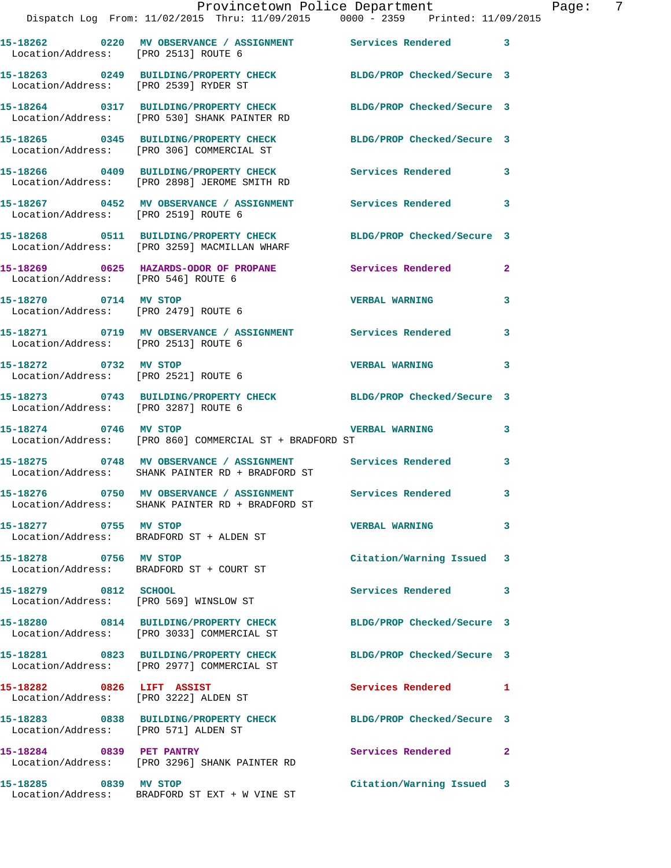|                                      | Provincetown Police Department<br>Dispatch Log From: 11/02/2015 Thru: 11/09/2015 0000 - 2359 Printed: 11/09/2015 |                            | Page: 7      |
|--------------------------------------|------------------------------------------------------------------------------------------------------------------|----------------------------|--------------|
| Location/Address: [PRO 2513] ROUTE 6 | 15-18262 0220 MV OBSERVANCE / ASSIGNMENT Services Rendered 3                                                     |                            |              |
|                                      | 15-18263 0249 BUILDING/PROPERTY CHECK BLDG/PROP Checked/Secure 3<br>Location/Address: [PRO 2539] RYDER ST        |                            |              |
|                                      | 15-18264 0317 BUILDING/PROPERTY CHECK BLDG/PROP Checked/Secure 3<br>Location/Address: [PRO 530] SHANK PAINTER RD |                            |              |
|                                      | 15-18265 0345 BUILDING/PROPERTY CHECK BLDG/PROP Checked/Secure 3<br>Location/Address: [PRO 306] COMMERCIAL ST    |                            |              |
|                                      | 15-18266 0409 BUILDING/PROPERTY CHECK Services Rendered 3<br>Location/Address: [PRO 2898] JEROME SMITH RD        |                            |              |
| Location/Address: [PRO 2519] ROUTE 6 | 15-18267 0452 MV OBSERVANCE / ASSIGNMENT Services Rendered                                                       |                            | 3            |
|                                      | 15-18268 0511 BUILDING/PROPERTY CHECK BLDG/PROP Checked/Secure 3<br>Location/Address: [PRO 3259] MACMILLAN WHARF |                            |              |
| Location/Address: [PRO 546] ROUTE 6  | 15-18269 0625 HAZARDS-ODOR OF PROPANE Services Rendered                                                          |                            | $\mathbf{2}$ |
| 15-18270 0714 MV STOP                | Location/Address: [PRO 2479] ROUTE 6                                                                             | <b>VERBAL WARNING</b>      | $\mathbf{3}$ |
| Location/Address: [PRO 2513] ROUTE 6 | 15-18271 0719 MV OBSERVANCE / ASSIGNMENT Services Rendered                                                       |                            | 3            |
| 15-18272 0732 MV STOP                | Location/Address: [PRO 2521] ROUTE 6                                                                             | <b>VERBAL WARNING</b>      | $\mathbf{3}$ |
| Location/Address: [PRO 3287] ROUTE 6 | 15-18273 0743 BUILDING/PROPERTY CHECK BLDG/PROP Checked/Secure 3                                                 |                            |              |
| 15-18274 0746 MV STOP                | Location/Address: [PRO 860] COMMERCIAL ST + BRADFORD ST                                                          | <b>VERBAL WARNING</b>      | $\mathbf{3}$ |
|                                      | 15-18275 0748 MV OBSERVANCE / ASSIGNMENT Services Rendered 3<br>Location/Address: SHANK PAINTER RD + BRADFORD ST |                            |              |
|                                      | 15-18276 0750 MV OBSERVANCE / ASSIGNMENT<br>Location/Address: SHANK PAINTER RD + BRADFORD ST                     | <b>Services Rendered</b>   |              |
| 15-18277 0755 MV STOP                | Location/Address: BRADFORD ST + ALDEN ST                                                                         | <b>VERBAL WARNING</b>      | 3            |
| 15-18278 0756 MV STOP                | Location/Address: BRADFORD ST + COURT ST                                                                         | Citation/Warning Issued    | 3            |
| 15-18279 0812 SCHOOL                 | Location/Address: [PRO 569] WINSLOW ST                                                                           | Services Rendered          | 3            |
|                                      | 15-18280 0814 BUILDING/PROPERTY CHECK<br>Location/Address: [PRO 3033] COMMERCIAL ST                              | BLDG/PROP Checked/Secure 3 |              |
|                                      | 15-18281 0823 BUILDING/PROPERTY CHECK<br>Location/Address: [PRO 2977] COMMERCIAL ST                              | BLDG/PROP Checked/Secure 3 |              |
|                                      | 15-18282 0826 LIFT ASSIST<br>Location/Address: [PRO 3222] ALDEN ST                                               | <b>Services Rendered</b>   | 1            |
| Location/Address: [PRO 571] ALDEN ST | 15-18283 0838 BUILDING/PROPERTY CHECK BLDG/PROP Checked/Secure 3                                                 |                            |              |
| 15-18284 0839 PET PANTRY             | Location/Address: [PRO 3296] SHANK PAINTER RD                                                                    | Services Rendered          | $\mathbf{2}$ |
| 15-18285 0839 MV STOP                | Location/Address: BRADFORD ST EXT + W VINE ST                                                                    | Citation/Warning Issued 3  |              |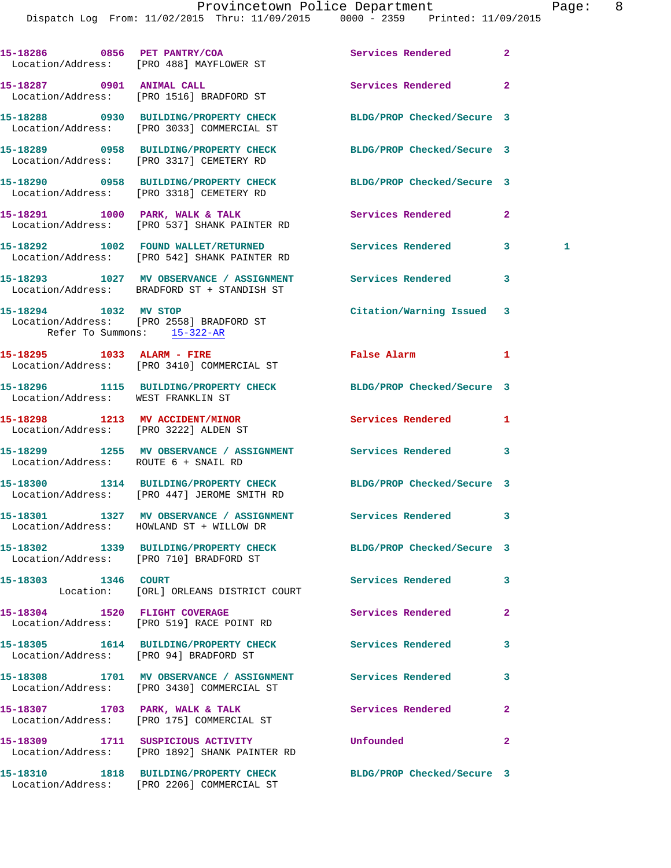|                                       | 15-18286 0856 PET PANTRY/COA<br>Location/Address: [PRO 488] MAYFLOWER ST                                        | Services Rendered          | $\overline{a}$ |   |
|---------------------------------------|-----------------------------------------------------------------------------------------------------------------|----------------------------|----------------|---|
|                                       | 15-18287 0901 ANIMAL CALL<br>Location/Address: [PRO 1516] BRADFORD ST                                           | Services Rendered          | $\overline{a}$ |   |
|                                       | 15-18288 0930 BUILDING/PROPERTY CHECK<br>Location/Address: [PRO 3033] COMMERCIAL ST                             | BLDG/PROP Checked/Secure 3 |                |   |
|                                       | 15-18289 0958 BUILDING/PROPERTY CHECK<br>Location/Address: [PRO 3317] CEMETERY RD                               | BLDG/PROP Checked/Secure 3 |                |   |
|                                       | 15-18290 0958 BUILDING/PROPERTY CHECK BLDG/PROP Checked/Secure 3<br>Location/Address: [PRO 3318] CEMETERY RD    |                            |                |   |
|                                       | 15-18291 1000 PARK, WALK & TALK<br>Location/Address: [PRO 537] SHANK PAINTER RD                                 | Services Rendered          | $\overline{2}$ |   |
|                                       | 15-18292 1002 FOUND WALLET/RETURNED<br>Location/Address: [PRO 542] SHANK PAINTER RD                             | Services Rendered          | 3 <sup>7</sup> | 1 |
|                                       | 15-18293 1027 MV OBSERVANCE / ASSIGNMENT Services Rendered<br>Location/Address: BRADFORD ST + STANDISH ST       |                            | 3              |   |
| 15-18294 1032 MV STOP                 | Location/Address: [PRO 2558] BRADFORD ST<br>Refer To Summons: 15-322-AR                                         | Citation/Warning Issued 3  |                |   |
|                                       | 15-18295 1033 ALARM - FIRE<br>Location/Address: [PRO 3410] COMMERCIAL ST                                        | False Alarm                | 1              |   |
| Location/Address: WEST FRANKLIN ST    | 15-18296 1115 BUILDING/PROPERTY CHECK                                                                           | BLDG/PROP Checked/Secure 3 |                |   |
| Location/Address: [PRO 3222] ALDEN ST | 15-18298 1213 MV ACCIDENT/MINOR                                                                                 | Services Rendered          | 1              |   |
| Location/Address: ROUTE 6 + SNAIL RD  | 15-18299 1255 MV OBSERVANCE / ASSIGNMENT Services Rendered                                                      |                            | 3              |   |
|                                       | 15-18300 1314 BUILDING/PROPERTY CHECK BLDG/PROP Checked/Secure 3<br>Location/Address: [PRO 447] JEROME SMITH RD |                            |                |   |
|                                       | 15-18301 1327 MV OBSERVANCE / ASSIGNMENT<br>Location/Address: HOWLAND ST + WILLOW DR                            | Services Rendered          | 3              |   |
|                                       | 15-18302 1339 BUILDING/PROPERTY CHECK<br>Location/Address: [PRO 710] BRADFORD ST                                | BLDG/PROP Checked/Secure 3 |                |   |
| 15-18303 1346 COURT                   | Location: [ORL] ORLEANS DISTRICT COURT                                                                          | Services Rendered          | 3              |   |
|                                       | 15-18304 1520 FLIGHT COVERAGE<br>Location/Address: [PRO 519] RACE POINT RD                                      | Services Rendered          | $\mathbf{2}$   |   |
|                                       | 15-18305 1614 BUILDING/PROPERTY CHECK<br>Location/Address: [PRO 94] BRADFORD ST                                 | Services Rendered          | 3              |   |
|                                       | 15-18308 1701 MV OBSERVANCE / ASSIGNMENT Services Rendered<br>Location/Address: [PRO 3430] COMMERCIAL ST        |                            | 3              |   |
|                                       | 15-18307 1703 PARK, WALK & TALK<br>Location/Address: [PRO 175] COMMERCIAL ST                                    | Services Rendered          | $\mathbf{2}$   |   |
|                                       | 15-18309 1711 SUSPICIOUS ACTIVITY<br>Location/Address: [PRO 1892] SHANK PAINTER RD                              | Unfounded                  | $\overline{2}$ |   |
|                                       | 15-18310 1818 BUILDING/PROPERTY CHECK<br>Location/Address: [PRO 2206] COMMERCIAL ST                             | BLDG/PROP Checked/Secure 3 |                |   |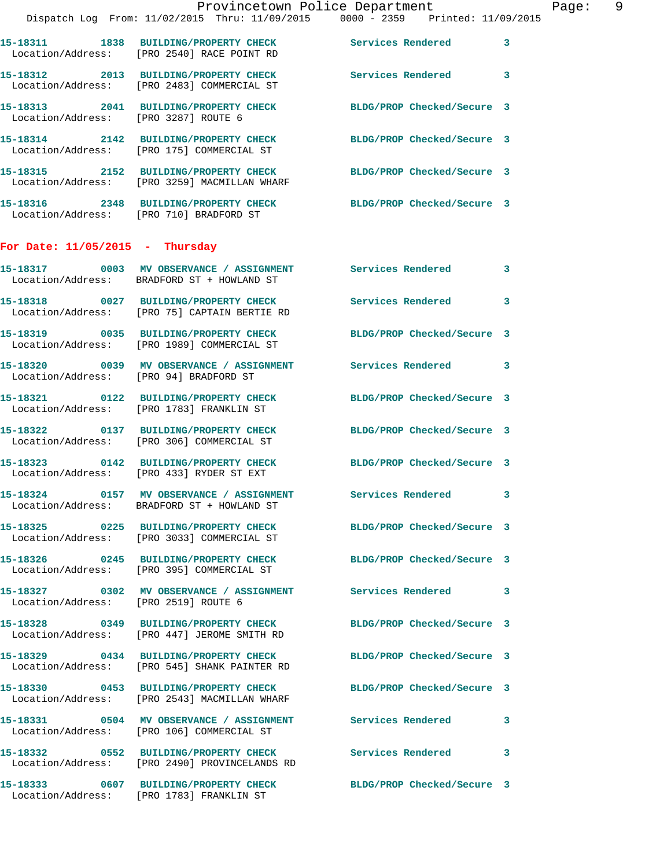|                                        | Provincetown Police Department<br>Dispatch Log From: 11/02/2015 Thru: 11/09/2015 0000 - 2359 Printed: 11/09/2015 |                            | Page: 9      |
|----------------------------------------|------------------------------------------------------------------------------------------------------------------|----------------------------|--------------|
|                                        | 15-18311 1838 BUILDING/PROPERTY CHECK Services Rendered 3<br>Location/Address: [PRO 2540] RACE POINT RD          |                            |              |
|                                        | 15-18312 2013 BUILDING/PROPERTY CHECK Services Rendered 3<br>Location/Address: [PRO 2483] COMMERCIAL ST          |                            |              |
| Location/Address: [PRO 3287] ROUTE 6   | 15-18313 2041 BUILDING/PROPERTY CHECK BLDG/PROP Checked/Secure 3                                                 |                            |              |
|                                        | 15-18314 2142 BUILDING/PROPERTY CHECK BLDG/PROP Checked/Secure 3<br>Location/Address: [PRO 175] COMMERCIAL ST    |                            |              |
|                                        | 15-18315 2152 BUILDING/PROPERTY CHECK BLDG/PROP Checked/Secure 3<br>Location/Address: [PRO 3259] MACMILLAN WHARF |                            |              |
|                                        | 15-18316 2348 BUILDING/PROPERTY CHECK BLDG/PROP Checked/Secure 3<br>Location/Address: [PRO 710] BRADFORD ST      |                            |              |
| For Date: $11/05/2015$ - Thursday      |                                                                                                                  |                            |              |
|                                        | 15-18317 0003 MV OBSERVANCE / ASSIGNMENT Services Rendered 3<br>Location/Address: BRADFORD ST + HOWLAND ST       |                            |              |
|                                        | 15-18318 0027 BUILDING/PROPERTY CHECK Services Rendered 3<br>Location/Address: [PRO 75] CAPTAIN BERTIE RD        |                            |              |
|                                        | 15-18319 0035 BUILDING/PROPERTY CHECK BLDG/PROP Checked/Secure 3<br>Location/Address: [PRO 1989] COMMERCIAL ST   |                            |              |
| Location/Address: [PRO 94] BRADFORD ST | 15-18320 0039 MV OBSERVANCE / ASSIGNMENT Services Rendered 3                                                     |                            |              |
|                                        | 15-18321 0122 BUILDING/PROPERTY CHECK BLDG/PROP Checked/Secure 3<br>Location/Address: [PRO 1783] FRANKLIN ST     |                            |              |
|                                        | 15-18322 0137 BUILDING/PROPERTY CHECK BLDG/PROP Checked/Secure 3<br>Location/Address: [PRO 306] COMMERCIAL ST    |                            |              |
|                                        | 15-18323 0142 BUILDING/PROPERTY CHECK<br>Location/Address: [PRO 433] RYDER ST EXT                                | BLDG/PROP Checked/Secure 3 |              |
|                                        | 15-18324 0157 MV OBSERVANCE / ASSIGNMENT<br>Location/Address: BRADFORD ST + HOWLAND ST                           | Services Rendered 3        |              |
|                                        | 15-18325 0225 BUILDING/PROPERTY CHECK BLDG/PROP Checked/Secure 3<br>Location/Address: [PRO 3033] COMMERCIAL ST   |                            |              |
|                                        | 15-18326 0245 BUILDING/PROPERTY CHECK BLDG/PROP Checked/Secure 3<br>Location/Address: [PRO 395] COMMERCIAL ST    |                            |              |
| Location/Address: [PRO 2519] ROUTE 6   | 15-18327 0302 MV OBSERVANCE / ASSIGNMENT Services Rendered 3                                                     |                            |              |
|                                        | 15-18328 0349 BUILDING/PROPERTY CHECK<br>Location/Address: [PRO 447] JEROME SMITH RD                             | BLDG/PROP Checked/Secure 3 |              |
|                                        | 15-18329 0434 BUILDING/PROPERTY CHECK BLDG/PROP Checked/Secure 3<br>Location/Address: [PRO 545] SHANK PAINTER RD |                            |              |
|                                        | 15-18330 0453 BUILDING/PROPERTY CHECK<br>Location/Address: [PRO 2543] MACMILLAN WHARF                            | BLDG/PROP Checked/Secure 3 |              |
|                                        | 15-18331 0504 MV OBSERVANCE / ASSIGNMENT Services Rendered<br>Location/Address: [PRO 106] COMMERCIAL ST          |                            | $\mathbf{3}$ |
|                                        | 15-18332 0552 BUILDING/PROPERTY CHECK Services Rendered 3<br>Location/Address: [PRO 2490] PROVINCELANDS RD       |                            |              |
|                                        | 15-18333 0607 BUILDING/PROPERTY CHECK<br>Location/Address: [PRO 1783] FRANKLIN ST                                | BLDG/PROP Checked/Secure 3 |              |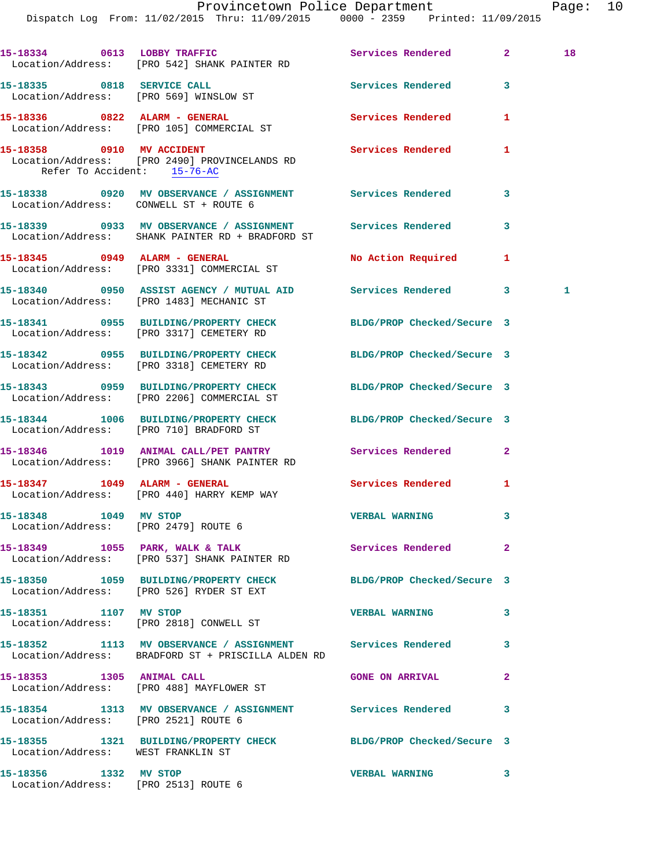|                                                               |                                                                                                                  | Provincetown Police Department |              | Page: 10 |  |
|---------------------------------------------------------------|------------------------------------------------------------------------------------------------------------------|--------------------------------|--------------|----------|--|
|                                                               | Dispatch Log From: 11/02/2015 Thru: 11/09/2015 0000 - 2359 Printed: 11/09/2015                                   |                                |              |          |  |
|                                                               | 15-18334 0613 LOBBY TRAFFIC Services Rendered 2<br>Location/Address: [PRO 542] SHANK PAINTER RD                  |                                |              | 18       |  |
|                                                               | 15-18335 0818 SERVICE CALL<br>Location/Address: [PRO 569] WINSLOW ST                                             | Services Rendered 3            |              |          |  |
|                                                               | 15-18336 0822 ALARM - GENERAL<br>Location/Address: [PRO 105] COMMERCIAL ST                                       | Services Rendered              | $\mathbf{1}$ |          |  |
| Refer To Accident: 15-76-AC                                   | 15-18358 0910 MV ACCIDENT<br>Location/Address: [PRO 2490] PROVINCELANDS RD                                       | Services Rendered 1            |              |          |  |
| Location/Address: CONWELL ST + ROUTE 6                        | 15-18338 0920 MV OBSERVANCE / ASSIGNMENT Services Rendered 3                                                     |                                |              |          |  |
|                                                               | 15-18339 6933 MV OBSERVANCE / ASSIGNMENT Services Rendered 3<br>Location/Address: SHANK PAINTER RD + BRADFORD ST |                                |              |          |  |
|                                                               | 15-18345 0949 ALARM - GENERAL<br>Location/Address: [PRO 3331] COMMERCIAL ST                                      | No Action Required 1           |              |          |  |
|                                                               | 15-18340 0950 ASSIST AGENCY / MUTUAL AID Services Rendered 3<br>Location/Address: [PRO 1483] MECHANIC ST         |                                |              | 1        |  |
|                                                               | 15-18341 0955 BUILDING/PROPERTY CHECK BLDG/PROP Checked/Secure 3<br>Location/Address: [PRO 3317] CEMETERY RD     |                                |              |          |  |
|                                                               | 15-18342 0955 BUILDING/PROPERTY CHECK BLDG/PROP Checked/Secure 3<br>Location/Address: [PRO 3318] CEMETERY RD     |                                |              |          |  |
|                                                               | 15-18343 0959 BUILDING/PROPERTY CHECK BLDG/PROP Checked/Secure 3<br>Location/Address: [PRO 2206] COMMERCIAL ST   |                                |              |          |  |
|                                                               | 15-18344 1006 BUILDING/PROPERTY CHECK BLDG/PROP Checked/Secure 3<br>Location/Address: [PRO 710] BRADFORD ST      |                                |              |          |  |
|                                                               | 15-18346 1019 ANIMAL CALL/PET PANTRY Services Rendered 2<br>Location/Address: [PRO 3966] SHANK PAINTER RD        |                                |              |          |  |
|                                                               | Location/Address: [PRO 440] HARRY KEMP WAY                                                                       | Services Rendered              | 1            |          |  |
| 15-18348 1049 MV STOP<br>Location/Address: [PRO 2479] ROUTE 6 |                                                                                                                  | <b>VERBAL WARNING</b>          | 3            |          |  |
|                                                               | 15-18349 1055 PARK, WALK & TALK<br>Location/Address: [PRO 537] SHANK PAINTER RD                                  | Services Rendered              | $\mathbf{2}$ |          |  |
|                                                               | 15-18350 1059 BUILDING/PROPERTY CHECK<br>Location/Address: [PRO 526] RYDER ST EXT                                | BLDG/PROP Checked/Secure 3     |              |          |  |
| 15-18351 1107 MV STOP                                         | Location/Address: [PRO 2818] CONWELL ST                                                                          | <b>VERBAL WARNING</b>          | 3            |          |  |
|                                                               |                                                                                                                  |                                |              |          |  |

**15-18352 1113 MV OBSERVANCE / ASSIGNMENT Services Rendered 3**  Location/Address: BRADFORD ST + PRISCILLA ALDEN RD

**15-18353 1305 ANIMAL CALL GONE ON ARRIVAL 2** 

Location/Address: WEST FRANKLIN ST

Location/Address: [PRO 2513] ROUTE 6

Location/Address: [PRO 488] MAYFLOWER ST

**15-18354 1313 MV OBSERVANCE / ASSIGNMENT Services Rendered 3**  Location/Address: [PRO 2521] ROUTE 6

**15-18355 1321 BUILDING/PROPERTY CHECK BLDG/PROP Checked/Secure 3** 

**15-18356 1332 MV STOP VERBAL WARNING 3**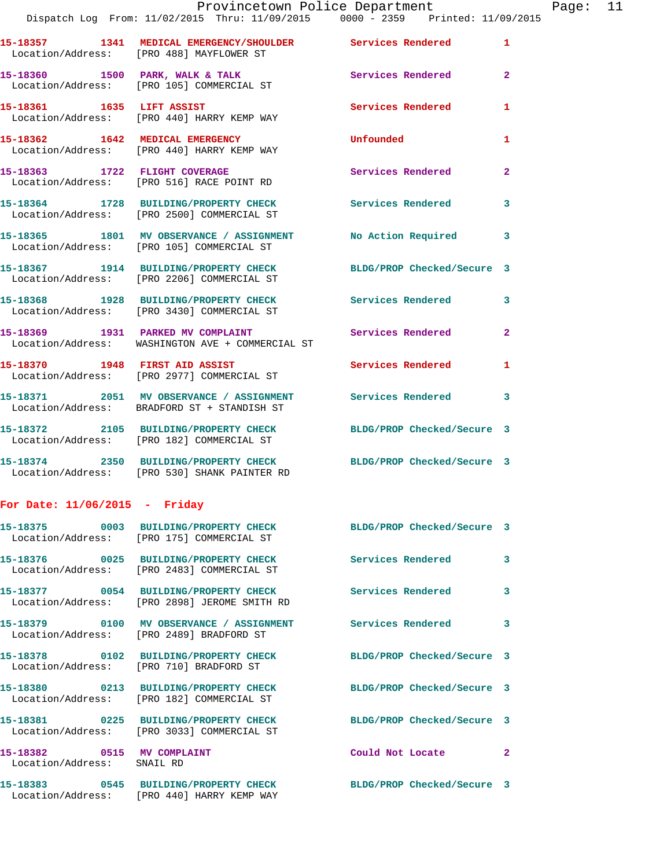|  | Provincetown Police Department                                                                                 |                          |                |
|--|----------------------------------------------------------------------------------------------------------------|--------------------------|----------------|
|  | Dispatch Log From: 11/02/2015 Thru: 11/09/2015 0000 - 2359 Printed: 11/09/2015                                 |                          |                |
|  | 15-18357 1341 MEDICAL EMERGENCY/SHOULDER Services Rendered<br>Location/Address: [PRO 488] MAYFLOWER ST         |                          | $\mathbf{1}$   |
|  | 15-18360 1500 PARK, WALK & TALK<br>Location/Address: [PRO 105] COMMERCIAL ST                                   | Services Rendered        | $\overline{2}$ |
|  | 15-18361 1635 LIFT ASSIST<br>Location/Address: [PRO 440] HARRY KEMP WAY                                        | <b>Services Rendered</b> | 1              |
|  | 15-18362 1642 MEDICAL EMERGENCY<br>Location/Address: [PRO 440] HARRY KEMP WAY                                  | Unfounded                | 1              |
|  | 15-18363 1722 FLIGHT COVERAGE<br>Location/Address: [PRO 516] RACE POINT RD                                     | Services Rendered        | $\overline{2}$ |
|  | 15-18364 1728 BUILDING/PROPERTY CHECK<br>Location/Address: [PRO 2500] COMMERCIAL ST                            | <b>Services Rendered</b> | 3              |
|  | 15-18365 1801 MV OBSERVANCE / ASSIGNMENT No Action Required<br>Location/Address: [PRO 105] COMMERCIAL ST       |                          | 3              |
|  | 15-18367 1914 BUILDING/PROPERTY CHECK BLDG/PROP Checked/Secure 3<br>Location/Address: [PRO 2206] COMMERCIAL ST |                          |                |
|  | 15-18368 1928 BUILDING/PROPERTY CHECK Services Rendered<br>Location/Address: [PRO 3430] COMMERCIAL ST          |                          | 3              |
|  | 15-18369 1931 PARKED MV COMPLAINT Services Rendered<br>Location/Address: WASHINGTON AVE + COMMERCIAL ST        |                          | $\overline{2}$ |
|  |                                                                                                                |                          |                |

**15-18370 1948 FIRST AID ASSIST Services Rendered 1**  Location/Address: [PRO 2977] COMMERCIAL ST

**15-18371 2051 MV OBSERVANCE / ASSIGNMENT Services Rendered 3**  Location/Address: BRADFORD ST + STANDISH ST

**15-18372 2105 BUILDING/PROPERTY CHECK BLDG/PROP Checked/Secure 3**  Location/Address: [PRO 182] COMMERCIAL ST

**15-18374 2350 BUILDING/PROPERTY CHECK BLDG/PROP Checked/Secure 3**  Location/Address: [PRO 530] SHANK PAINTER RD

## **For Date: 11/06/2015 - Friday**

|                                                          | 15-18375 0003 BUILDING/PROPERTY CHECK BLDG/PROP Checked/Secure 3<br>Location/Address: [PRO 175] COMMERCIAL ST  |                            |                |
|----------------------------------------------------------|----------------------------------------------------------------------------------------------------------------|----------------------------|----------------|
|                                                          | Location/Address: [PRO 2483] COMMERCIAL ST                                                                     | <b>Services Rendered</b>   | $\mathbf{3}$   |
|                                                          | 15-18377 0054 BUILDING/PROPERTY CHECK<br>Location/Address: [PRO 2898] JEROME SMITH RD                          | <b>Services Rendered</b>   | $\mathbf{3}$   |
|                                                          | Location/Address: [PRO 2489] BRADFORD ST                                                                       |                            | $\overline{3}$ |
|                                                          | Location/Address: [PRO 710] BRADFORD ST                                                                        | BLDG/PROP Checked/Secure 3 |                |
|                                                          | 15-18380 0213 BUILDING/PROPERTY CHECK BLDG/PROP Checked/Secure 3<br>Location/Address: [PRO 182] COMMERCIAL ST  |                            |                |
|                                                          | 15-18381 0225 BUILDING/PROPERTY CHECK BLDG/PROP Checked/Secure 3<br>Location/Address: [PRO 3033] COMMERCIAL ST |                            |                |
| 15-18382 0515 MV COMPLAINT<br>Location/Address: SNAIL RD |                                                                                                                | Could Not Locate           | $\overline{2}$ |
|                                                          | 15-18383 0545 BUILDING/PROPERTY CHECK BLDG/PROP Checked/Secure 3<br>Location/Address: [PRO 440] HARRY KEMP WAY |                            |                |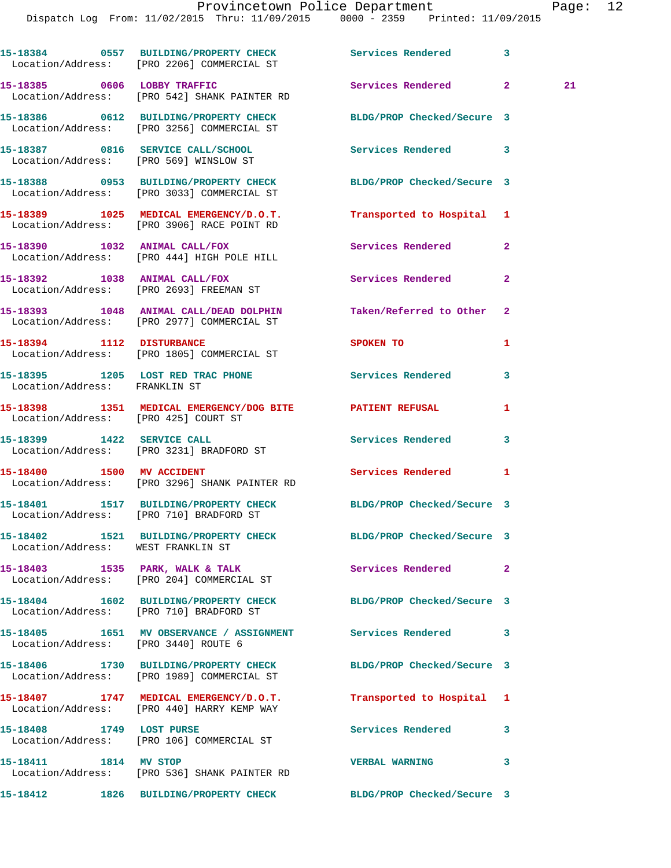Dispatch Log From: 11/02/2015 Thru: 11/09/2015 0000 - 2359 Printed: 11/09/2015

**15-18384 0557 BUILDING/PROPERTY CHECK Services Rendered 3**  Location/Address: [PRO 2206] COMMERCIAL ST **15-18385 0606 LOBBY TRAFFIC Services Rendered 2 21**  Location/Address: [PRO 542] SHANK PAINTER RD **15-18386 0612 BUILDING/PROPERTY CHECK BLDG/PROP Checked/Secure 3**  Location/Address: [PRO 3256] COMMERCIAL ST **15-18387 0816 SERVICE CALL/SCHOOL Services Rendered 3**  Location/Address: [PRO 569] WINSLOW ST **15-18388 0953 BUILDING/PROPERTY CHECK BLDG/PROP Checked/Secure 3**  Location/Address: [PRO 3033] COMMERCIAL ST **15-18389 1025 MEDICAL EMERGENCY/D.O.T. Transported to Hospital 1**  Location/Address: [PRO 3906] RACE POINT RD **15-18390 1032 ANIMAL CALL/FOX Services Rendered 2**  Location/Address: [PRO 444] HIGH POLE HILL **15-18392 1038 ANIMAL CALL/FOX Services Rendered 2**  Location/Address: [PRO 2693] FREEMAN ST **15-18393 1048 ANIMAL CALL/DEAD DOLPHIN Taken/Referred to Other 2**  Location/Address: [PRO 2977] COMMERCIAL ST **15-18394 1112 DISTURBANCE SPOKEN TO 1**  Location/Address: [PRO 1805] COMMERCIAL ST **15-18395 1205 LOST RED TRAC PHONE Services Rendered 3**  Location/Address: FRANKLIN ST **15-18398 1351 MEDICAL EMERGENCY/DOG BITE PATIENT REFUSAL 1**  Location/Address: [PRO 425] COURT ST **15-18399 1422 SERVICE CALL Services Rendered 3**  Location/Address: [PRO 3231] BRADFORD ST **15-18400 1500 MV ACCIDENT Services Rendered 1**  Location/Address: [PRO 3296] SHANK PAINTER RD **15-18401 1517 BUILDING/PROPERTY CHECK BLDG/PROP Checked/Secure 3**  Location/Address: [PRO 710] BRADFORD ST **15-18402 1521 BUILDING/PROPERTY CHECK BLDG/PROP Checked/Secure 3**  Location/Address: WEST FRANKLIN ST **15-18403 1535 PARK, WALK & TALK Services Rendered 2**  Location/Address: [PRO 204] COMMERCIAL ST **15-18404 1602 BUILDING/PROPERTY CHECK BLDG/PROP Checked/Secure 3**  Location/Address: [PRO 710] BRADFORD ST **15-18405 1651 MV OBSERVANCE / ASSIGNMENT Services Rendered 3**  Location/Address: [PRO 3440] ROUTE 6 **15-18406 1730 BUILDING/PROPERTY CHECK BLDG/PROP Checked/Secure 3**  Location/Address: [PRO 1989] COMMERCIAL ST **15-18407 1747 MEDICAL EMERGENCY/D.O.T. Transported to Hospital 1**  Location/Address: [PRO 440] HARRY KEMP WAY **15-18408 1749 LOST PURSE Services Rendered 3**  Location/Address: [PRO 106] COMMERCIAL ST **15-18411 1814 MV STOP VERBAL WARNING 3**  Location/Address: [PRO 536] SHANK PAINTER RD

**15-18412 1826 BUILDING/PROPERTY CHECK BLDG/PROP Checked/Secure 3**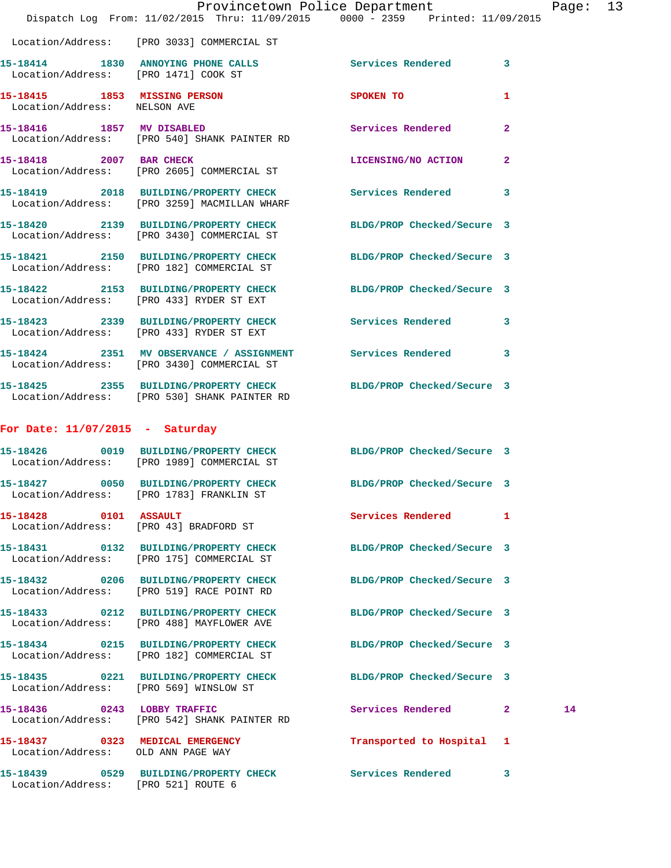|                                                              | Dispatch Log From: 11/02/2015 Thru: 11/09/2015 0000 - 2359 Printed: 11/09/2015                                   | Provincetown Police Department |              | Page: 13 |  |
|--------------------------------------------------------------|------------------------------------------------------------------------------------------------------------------|--------------------------------|--------------|----------|--|
|                                                              | Location/Address: [PRO 3033] COMMERCIAL ST                                                                       |                                |              |          |  |
| Location/Address: [PRO 1471] COOK ST                         | 15-18414 1830 ANNOYING PHONE CALLS Services Rendered 3                                                           |                                |              |          |  |
| 15-18415 1853 MISSING PERSON<br>Location/Address: NELSON AVE |                                                                                                                  | SPOKEN TO AND THE SPOKEN TO    | 1            |          |  |
|                                                              | 15-18416 1857 MV DISABLED<br>Location/Address: [PRO 540] SHANK PAINTER RD                                        | Services Rendered              | $\mathbf{2}$ |          |  |
| 15-18418 2007 BAR CHECK                                      | Location/Address: [PRO 2605] COMMERCIAL ST                                                                       | LICENSING/NO ACTION 2          |              |          |  |
|                                                              | 15-18419 2018 BUILDING/PROPERTY CHECK Services Rendered 3<br>Location/Address: [PRO 3259] MACMILLAN WHARF        |                                |              |          |  |
|                                                              | 15-18420 2139 BUILDING/PROPERTY CHECK BLDG/PROP Checked/Secure 3<br>Location/Address: [PRO 3430] COMMERCIAL ST   |                                |              |          |  |
|                                                              | 15-18421 2150 BUILDING/PROPERTY CHECK<br>Location/Address: [PRO 182] COMMERCIAL ST                               | BLDG/PROP Checked/Secure 3     |              |          |  |
|                                                              | 15-18422 2153 BUILDING/PROPERTY CHECK BLDG/PROP Checked/Secure 3<br>Location/Address: [PRO 433] RYDER ST EXT     |                                |              |          |  |
|                                                              | 15-18423 2339 BUILDING/PROPERTY CHECK Services Rendered 3<br>Location/Address: [PRO 433] RYDER ST EXT            |                                |              |          |  |
|                                                              | 15-18424 2351 MV OBSERVANCE / ASSIGNMENT Services Rendered 3<br>Location/Address: [PRO 3430] COMMERCIAL ST       |                                |              |          |  |
|                                                              | 15-18425 2355 BUILDING/PROPERTY CHECK BLDG/PROP Checked/Secure 3<br>Location/Address: [PRO 530] SHANK PAINTER RD |                                |              |          |  |
| For Date: $11/07/2015$ - Saturday                            |                                                                                                                  |                                |              |          |  |
|                                                              | 15-18426 0019 BUILDING/PROPERTY CHECK BLDG/PROP Checked/Secure 3<br>Location/Address: [PRO 1989] COMMERCIAL ST   |                                |              |          |  |
| 15-18427                                                     | 0050 BUILDING/PROPERTY CHECK<br>Location/Address: [PRO 1783] FRANKLIN ST                                         | BLDG/PROP Checked/Secure 3     |              |          |  |
| 15-18428 0101 ASSAULT                                        | Location/Address: [PRO 43] BRADFORD ST                                                                           | Services Rendered 1            |              |          |  |
|                                                              | 15-18431 0132 BUILDING/PROPERTY CHECK BLDG/PROP Checked/Secure 3<br>Location/Address: [PRO 175] COMMERCIAL ST    |                                |              |          |  |
|                                                              | 15-18432 0206 BUILDING/PROPERTY CHECK<br>Location/Address: [PRO 519] RACE POINT RD                               | BLDG/PROP Checked/Secure 3     |              |          |  |
|                                                              | 15-18433 0212 BUILDING/PROPERTY CHECK BLDG/PROP Checked/Secure 3<br>Location/Address: [PRO 488] MAYFLOWER AVE    |                                |              |          |  |
|                                                              | 15-18434 0215 BUILDING/PROPERTY CHECK<br>Location/Address: [PRO 182] COMMERCIAL ST                               | BLDG/PROP Checked/Secure 3     |              |          |  |
| Location/Address: [PRO 569] WINSLOW ST                       | 15-18435 0221 BUILDING/PROPERTY CHECK BLDG/PROP Checked/Secure 3                                                 |                                |              |          |  |
|                                                              | 15-18436 0243 LOBBY TRAFFIC<br>Location/Address: [PRO 542] SHANK PAINTER RD                                      | Services Rendered 2            |              | 14       |  |
| Location/Address: OLD ANN PAGE WAY                           | 15-18437 0323 MEDICAL EMERGENCY                                                                                  | Transported to Hospital 1      |              |          |  |
| Location/Address: [PRO 521] ROUTE 6                          | 15-18439 0529 BUILDING/PROPERTY CHECK Services Rendered 3                                                        |                                |              |          |  |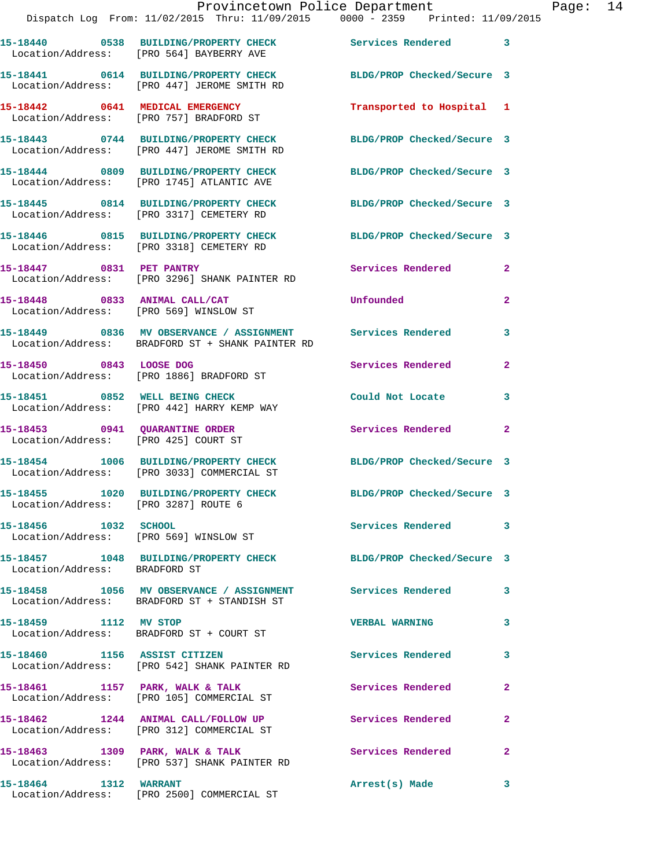|                                                                        | 15-18440 0538 BUILDING/PROPERTY CHECK<br>Location/Address: [PRO 564] BAYBERRY AVE                         | Services Rendered 3        |                         |
|------------------------------------------------------------------------|-----------------------------------------------------------------------------------------------------------|----------------------------|-------------------------|
|                                                                        | 15-18441 0614 BUILDING/PROPERTY CHECK<br>Location/Address: [PRO 447] JEROME SMITH RD                      | BLDG/PROP Checked/Secure 3 |                         |
|                                                                        | 15-18442 0641 MEDICAL EMERGENCY<br>Location/Address: [PRO 757] BRADFORD ST                                | Transported to Hospital 1  |                         |
|                                                                        | 15-18443 0744 BUILDING/PROPERTY CHECK<br>Location/Address: [PRO 447] JEROME SMITH RD                      | BLDG/PROP Checked/Secure 3 |                         |
|                                                                        | 15-18444 0809 BUILDING/PROPERTY CHECK<br>Location/Address: [PRO 1745] ATLANTIC AVE                        | BLDG/PROP Checked/Secure 3 |                         |
|                                                                        | 15-18445 0814 BUILDING/PROPERTY CHECK<br>Location/Address: [PRO 3317] CEMETERY RD                         | BLDG/PROP Checked/Secure 3 |                         |
|                                                                        | 15-18446 0815 BUILDING/PROPERTY CHECK<br>Location/Address: [PRO 3318] CEMETERY RD                         | BLDG/PROP Checked/Secure 3 |                         |
| 15-18447 0831 PET PANTRY                                               | Location/Address: [PRO 3296] SHANK PAINTER RD                                                             | Services Rendered          | $\mathbf{2}$            |
| 15-18448 0833 ANIMAL CALL/CAT                                          | Location/Address: [PRO 569] WINSLOW ST                                                                    | Unfounded                  | $\overline{2}$          |
|                                                                        | 15-18449 0836 MV OBSERVANCE / ASSIGNMENT<br>Location/Address: BRADFORD ST + SHANK PAINTER RD              | Services Rendered          | 3                       |
| 15-18450 0843 LOOSE DOG                                                | Location/Address: [PRO 1886] BRADFORD ST                                                                  | Services Rendered          | $\overline{2}$          |
| 15-18451 0852 WELL BEING CHECK                                         | Location/Address: [PRO 442] HARRY KEMP WAY                                                                | Could Not Locate           | 3                       |
| 15-18453 0941 QUARANTINE ORDER<br>Location/Address: [PRO 425] COURT ST |                                                                                                           | Services Rendered 2        |                         |
|                                                                        | 15-18454 1006 BUILDING/PROPERTY CHECK<br>Location/Address: [PRO 3033] COMMERCIAL ST                       | BLDG/PROP Checked/Secure 3 |                         |
| 15-18455<br>Location/Address: [PRO 3287] ROUTE 6                       | 1020 BUILDING/PROPERTY CHECK                                                                              | BLDG/PROP Checked/Secure 3 |                         |
| 15-18456 1032 SCHOOL                                                   | Location/Address: [PRO 569] WINSLOW ST                                                                    | <b>Services Rendered</b>   | $\overline{\mathbf{3}}$ |
| Location/Address: BRADFORD ST                                          | 15-18457 1048 BUILDING/PROPERTY CHECK                                                                     | BLDG/PROP Checked/Secure 3 |                         |
|                                                                        | 15-18458 1056 MV OBSERVANCE / ASSIGNMENT Services Rendered<br>Location/Address: BRADFORD ST + STANDISH ST |                            | 3                       |
| 15-18459 1112 MV STOP                                                  | Location/Address: BRADFORD ST + COURT ST                                                                  | <b>VERBAL WARNING</b>      | 3                       |
| 15-18460 1156 ASSIST CITIZEN                                           | Location/Address: [PRO 542] SHANK PAINTER RD                                                              | <b>Services Rendered</b>   | 3                       |
| 15-18461 1157 PARK, WALK & TALK                                        | Location/Address: [PRO 105] COMMERCIAL ST                                                                 | Services Rendered          | $\overline{2}$          |
|                                                                        | 15-18462 1244 ANIMAL CALL/FOLLOW UP<br>Location/Address: [PRO 312] COMMERCIAL ST                          | Services Rendered          | $\mathbf{2}$            |
|                                                                        | 15-18463 1309 PARK, WALK & TALK<br>Location/Address: [PRO 537] SHANK PAINTER RD                           | Services Rendered          | $\mathbf{2}$            |
| 15-18464 1312 WARRANT                                                  | Location/Address: [PRO 2500] COMMERCIAL ST                                                                | Arrest(s) Made             | 3                       |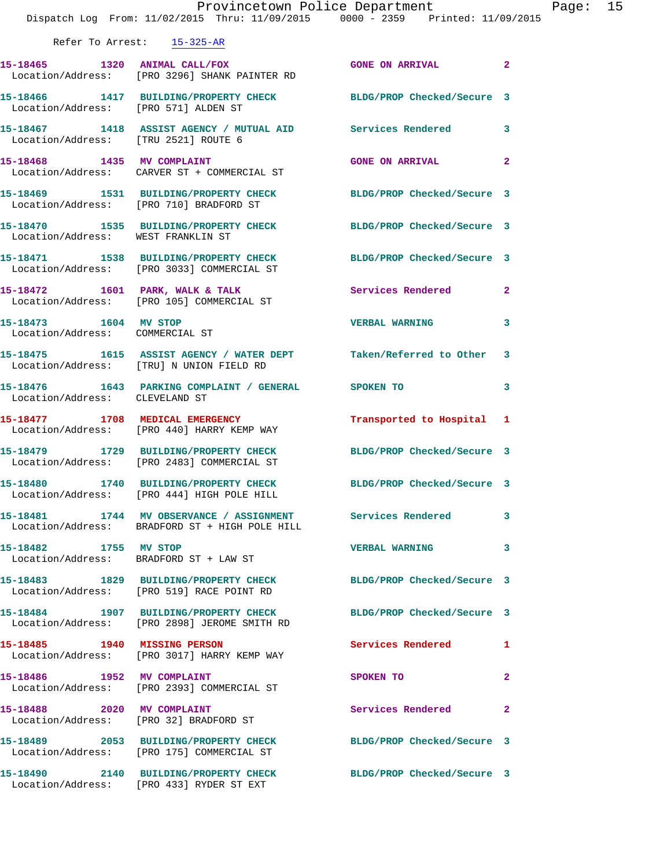|                                      | Dispatch Log From: 11/02/2015 Thru: 11/09/2015 0000 - 2359 Printed: 11/09/2015                                   | Provincetown Police Department Page: 15 |              |  |
|--------------------------------------|------------------------------------------------------------------------------------------------------------------|-----------------------------------------|--------------|--|
|                                      | Refer To Arrest: 15-325-AR                                                                                       |                                         |              |  |
|                                      | 15-18465 1320 ANIMAL CALL/FOX GONE ON ARRIVAL 2<br>Location/Address: [PRO 3296] SHANK PAINTER RD                 |                                         |              |  |
| Location/Address: [PRO 571] ALDEN ST | 15-18466 1417 BUILDING/PROPERTY CHECK BLDG/PROP Checked/Secure 3                                                 |                                         |              |  |
| Location/Address: [TRU 2521] ROUTE 6 | 15-18467 1418 ASSIST AGENCY / MUTUAL AID Services Rendered 3                                                     |                                         |              |  |
|                                      | 15-18468 1435 MV COMPLAINT<br>Location/Address: CARVER ST + COMMERCIAL ST                                        | GONE ON ARRIVAL 2                       |              |  |
|                                      | 15-18469 1531 BUILDING/PROPERTY CHECK BLDG/PROP Checked/Secure 3<br>Location/Address: [PRO 710] BRADFORD ST      |                                         |              |  |
|                                      | 15-18470   1535   BUILDING/PROPERTY CHECK   BLDG/PROP Checked/Secure   3<br>Location/Address: WEST FRANKLIN ST   |                                         |              |  |
|                                      | 15-18471   1538 BUILDING/PROPERTY CHECK BLDG/PROP Checked/Secure 3<br>Location/Address: [PRO 3033] COMMERCIAL ST |                                         |              |  |
|                                      | 15-18472 1601 PARK, WALK & TALK Services Rendered 2<br>Location/Address: [PRO 105] COMMERCIAL ST                 |                                         |              |  |
| Location/Address: COMMERCIAL ST      | 15-18473 1604 MV STOP                                                                                            | <b>VERBAL WARNING</b>                   | $\mathbf{3}$ |  |
|                                      | 15-18475 1615 ASSIST AGENCY / WATER DEPT Taken/Referred to Other 3<br>Location/Address: [TRU] N UNION FIELD RD   |                                         |              |  |
| Location/Address: CLEVELAND ST       | 15-18476   1643   PARKING COMPLAINT / GENERAL   SPOKEN TO                                                        |                                         | $\mathbf{3}$ |  |
|                                      | 15-18477 1708 MEDICAL EMERGENCY 1 Transported to Hospital 1<br>Location/Address: [PRO 440] HARRY KEMP WAY        |                                         |              |  |
|                                      | 15-18479 1729 BUILDING/PROPERTY CHECK BLDG/PROP Checked/Secure 3<br>Location/Address: [PRO 2483] COMMERCIAL ST   |                                         |              |  |
|                                      | 15-18480 1740 BUILDING/PROPERTY CHECK<br>Location/Address: [PRO 444] HIGH POLE HILL                              | BLDG/PROP Checked/Secure 3              |              |  |
|                                      | 15-18481 1744 MV OBSERVANCE / ASSIGNMENT Services Rendered 3<br>Location/Address: BRADFORD ST + HIGH POLE HILL   |                                         |              |  |
| 15-18482 1755 MV STOP                | Location/Address: BRADFORD ST + LAW ST                                                                           | VERBAL WARNING 3                        |              |  |
|                                      | 15-18483 1829 BUILDING/PROPERTY CHECK BLDG/PROP Checked/Secure 3<br>Location/Address: [PRO 519] RACE POINT RD    |                                         |              |  |
|                                      | 15-18484 1907 BUILDING/PROPERTY CHECK BLDG/PROP Checked/Secure 3<br>Location/Address: [PRO 2898] JEROME SMITH RD |                                         |              |  |
|                                      | 15-18485 1940 MISSING PERSON<br>Location/Address: [PRO 3017] HARRY KEMP WAY                                      | Services Rendered 1                     |              |  |
|                                      | 15-18486 1952 MV COMPLAINT<br>Location/Address: [PRO 2393] COMMERCIAL ST                                         | SPOKEN TO                               | $\mathbf{2}$ |  |
|                                      | 15-18488 2020 MV COMPLAINT<br>Location/Address: [PRO 32] BRADFORD ST                                             | Services Rendered 2                     |              |  |
|                                      | 15-18489 2053 BUILDING/PROPERTY CHECK BLDG/PROP Checked/Secure 3<br>Location/Address: [PRO 175] COMMERCIAL ST    |                                         |              |  |
|                                      | 15-18490 2140 BUILDING/PROPERTY CHECK BLDG/PROP Checked/Secure 3<br>Location/Address: [PRO 433] RYDER ST EXT     |                                         |              |  |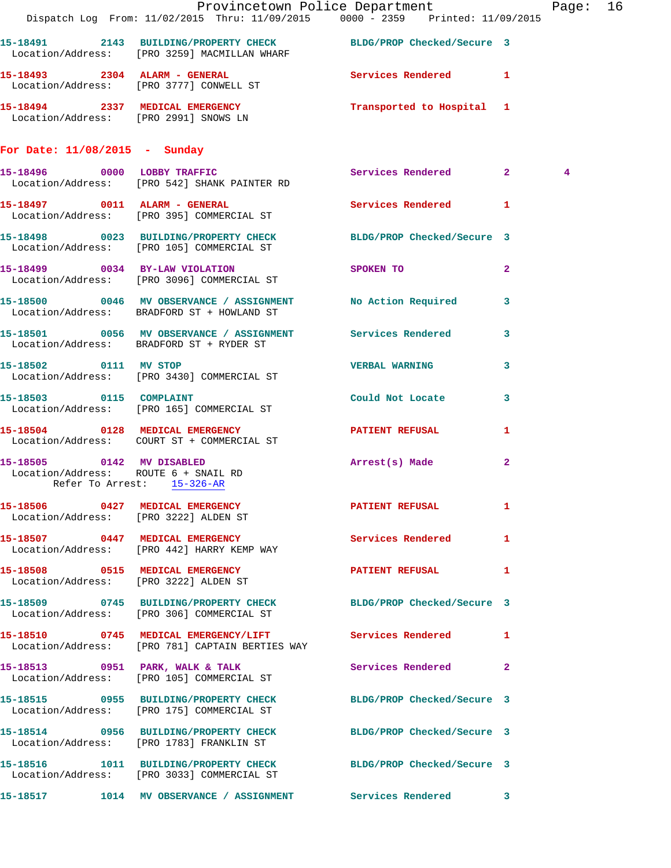|                                                                    | Provincetown Police Department The Page: 16                                                                      |                         |                         |             |  |
|--------------------------------------------------------------------|------------------------------------------------------------------------------------------------------------------|-------------------------|-------------------------|-------------|--|
|                                                                    | Dispatch Log From: 11/02/2015 Thru: 11/09/2015 0000 - 2359 Printed: 11/09/2015                                   |                         |                         |             |  |
|                                                                    | 15-18491 2143 BUILDING/PROPERTY CHECK BLDG/PROP Checked/Secure 3<br>Location/Address: [PRO 3259] MACMILLAN WHARF |                         |                         |             |  |
|                                                                    | 15-18493 2304 ALARM - GENERAL Services Rendered 1<br>Location/Address: [PRO 3777] CONWELL ST                     |                         |                         |             |  |
|                                                                    | 15-18494  2337 MEDICAL EMERGENCY  Transported to Hospital 1  Location/Address: [PRO 2991] SNOWS LN               |                         |                         |             |  |
| For Date: $11/08/2015$ - Sunday                                    |                                                                                                                  |                         |                         |             |  |
|                                                                    | 15-18496 0000 LOBBY TRAFFIC<br>Location/Address: [PRO 542] SHANK PAINTER RD                                      | Services Rendered 2     |                         | $4^{\circ}$ |  |
|                                                                    | 15-18497 0011 ALARM - GENERAL Services Rendered 1<br>Location/Address: [PRO 395] COMMERCIAL ST                   |                         |                         |             |  |
|                                                                    | 15-18498 0023 BUILDING/PROPERTY CHECK BLDG/PROP Checked/Secure 3<br>Location/Address: [PRO 105] COMMERCIAL ST    |                         |                         |             |  |
|                                                                    | 15-18499 0034 BY-LAW VIOLATION<br>Location/Address: [PRO 3096] COMMERCIAL ST                                     | <b>SPOKEN TO</b>        | $\overline{\mathbf{2}}$ |             |  |
|                                                                    | 15-18500 0046 MV OBSERVANCE / ASSIGNMENT No Action Required 3<br>Location/Address: BRADFORD ST + HOWLAND ST      |                         |                         |             |  |
|                                                                    | 15-18501 0056 MV OBSERVANCE / ASSIGNMENT Services Rendered 3<br>Location/Address: BRADFORD ST + RYDER ST         |                         |                         |             |  |
| 15-18502 0111 MV STOP                                              | Location/Address: [PRO 3430] COMMERCIAL ST                                                                       | <b>VERBAL WARNING 3</b> |                         |             |  |
|                                                                    | 15-18503 0115 COMPLAINT<br>Location/Address: [PRO 165] COMMERCIAL ST                                             | Could Not Locate        | $\mathbf{3}$            |             |  |
|                                                                    | 15-18504 0128 MEDICAL EMERGENCY PATIENT REFUSAL<br>Location/Address: COURT ST + COMMERCIAL ST                    |                         | $\mathbf{1}$            |             |  |
| Location/Address: ROUTE 6 + SNAIL RD<br>Refer To Arrest: 15-326-AR | 15-18505 0142 MV DISABLED                                                                                        | Arrest(s) Made          | $\mathbf{2}$            |             |  |
|                                                                    | 15-18506 0427 MEDICAL EMERGENCY<br>Location/Address: [PRO 3222] ALDEN ST                                         | PATIENT REFUSAL 1       |                         |             |  |
|                                                                    | 15-18507 0447 MEDICAL EMERGENCY Services Rendered 1<br>Location/Address: [PRO 442] HARRY KEMP WAY                |                         |                         |             |  |
|                                                                    | 15-18508 0515 MEDICAL EMERGENCY DESCRIPTION PATIENT REFUSAL 1<br>Location/Address: [PRO 3222] ALDEN ST           |                         |                         |             |  |
|                                                                    | 15-18509 0745 BUILDING/PROPERTY CHECK BLDG/PROP Checked/Secure 3<br>Location/Address: [PRO 306] COMMERCIAL ST    |                         |                         |             |  |
|                                                                    | 15-18510 0745 MEDICAL EMERGENCY/LIFT Services Rendered 1<br>Location/Address: [PRO 781] CAPTAIN BERTIES WAY      |                         |                         |             |  |
|                                                                    | 15-18513 0951 PARK, WALK & TALK<br>Location/Address: [PRO 105] COMMERCIAL ST                                     | Services Rendered 2     |                         |             |  |
|                                                                    | 15-18515 0955 BUILDING/PROPERTY CHECK BLDG/PROP Checked/Secure 3<br>Location/Address: [PRO 175] COMMERCIAL ST    |                         |                         |             |  |
|                                                                    | 15-18514  0956  BUILDING/PROPERTY CHECK BLDG/PROP Checked/Secure 3<br>Location/Address: [PRO 1783] FRANKLIN ST   |                         |                         |             |  |
|                                                                    | 15-18516 1011 BUILDING/PROPERTY CHECK BLDG/PROP Checked/Secure 3<br>Location/Address: [PRO 3033] COMMERCIAL ST   |                         |                         |             |  |
|                                                                    | 15-18517 1014 MV OBSERVANCE / ASSIGNMENT Services Rendered 3                                                     |                         |                         |             |  |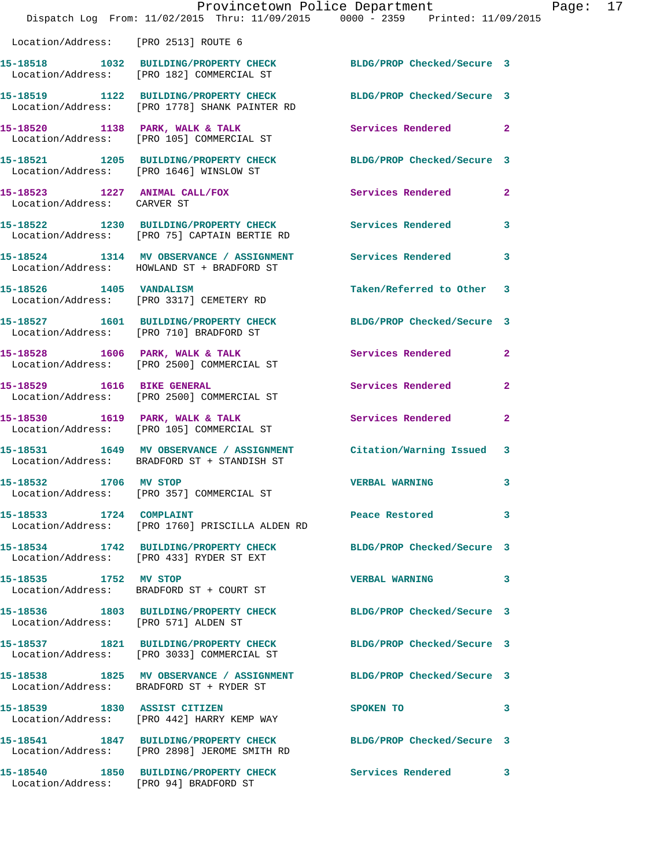|                                         | Provincetown Police Department<br>Dispatch Log From: 11/02/2015 Thru: 11/09/2015 0000 - 2359 Printed: 11/09/2015  |                            |                |
|-----------------------------------------|-------------------------------------------------------------------------------------------------------------------|----------------------------|----------------|
| Location/Address: [PRO 2513] ROUTE 6    |                                                                                                                   |                            |                |
|                                         | 15-18518 1032 BUILDING/PROPERTY CHECK BLDG/PROP Checked/Secure 3<br>Location/Address: [PRO 182] COMMERCIAL ST     |                            |                |
|                                         | 15-18519 1122 BUILDING/PROPERTY CHECK BLDG/PROP Checked/Secure 3<br>Location/Address: [PRO 1778] SHANK PAINTER RD |                            |                |
|                                         | 15-18520 1138 PARK, WALK & TALK<br>Location/Address: [PRO 105] COMMERCIAL ST                                      | Services Rendered          | $\mathbf{2}$   |
| Location/Address: [PRO 1646] WINSLOW ST | 15-18521 1205 BUILDING/PROPERTY CHECK                                                                             | BLDG/PROP Checked/Secure 3 |                |
| Location/Address: CARVER ST             | 15-18523 1227 ANIMAL CALL/FOX                                                                                     | <b>Services Rendered</b>   | $\mathbf{2}$   |
|                                         | 15-18522 1230 BUILDING/PROPERTY CHECK<br>Location/Address: [PRO 75] CAPTAIN BERTIE RD                             | <b>Services Rendered</b>   | 3              |
|                                         | 15-18524 1314 MV OBSERVANCE / ASSIGNMENT<br>Location/Address: HOWLAND ST + BRADFORD ST                            | <b>Services Rendered</b>   | 3              |
| 15-18526 1405 VANDALISM                 | Location/Address: [PRO 3317] CEMETERY RD                                                                          | Taken/Referred to Other    | 3              |
|                                         | 15-18527 1601 BUILDING/PROPERTY CHECK<br>Location/Address: [PRO 710] BRADFORD ST                                  | BLDG/PROP Checked/Secure 3 |                |
|                                         | $15-18528$ 1606 PARK, WALK & TALK<br>Location/Address: [PRO 2500] COMMERCIAL ST                                   | Services Rendered          | $\mathbf{2}$   |
| 15-18529 1616 BIKE GENERAL              | Location/Address: [PRO 2500] COMMERCIAL ST                                                                        | Services Rendered          | $\overline{a}$ |
|                                         | 15-18530 1619 PARK, WALK & TALK<br>Location/Address: [PRO 105] COMMERCIAL ST                                      | Services Rendered          | $\mathbf{2}$   |
|                                         | 15-18531 1649 MV OBSERVANCE / ASSIGNMENT<br>Location/Address: BRADFORD ST + STANDISH ST                           | Citation/Warning Issued    | 3              |
| 15-18532<br>1706                        | MV STOP<br>Location/Address: [PRO 357] COMMERCIAL ST                                                              | <b>VERBAL WARNING</b>      | 3              |
| 15-18533 1724 COMPLAINT                 | Location/Address: [PRO 1760] PRISCILLA ALDEN RD                                                                   | Peace Restored             | 3              |
|                                         | 15-18534 1742 BUILDING/PROPERTY CHECK BLDG/PROP Checked/Secure 3<br>Location/Address: [PRO 433] RYDER ST EXT      |                            |                |
| 15-18535 1752 MV STOP                   | Location/Address: BRADFORD ST + COURT ST                                                                          | <b>VERBAL WARNING</b>      | 3              |
| Location/Address: [PRO 571] ALDEN ST    | 15-18536 1803 BUILDING/PROPERTY CHECK                                                                             | BLDG/PROP Checked/Secure 3 |                |
|                                         | 15-18537 1821 BUILDING/PROPERTY CHECK<br>Location/Address: [PRO 3033] COMMERCIAL ST                               | BLDG/PROP Checked/Secure 3 |                |
|                                         | 15-18538 1825 MV OBSERVANCE / ASSIGNMENT BLDG/PROP Checked/Secure 3<br>Location/Address: BRADFORD ST + RYDER ST   |                            |                |
| 15-18539 1830 ASSIST CITIZEN            | Location/Address: [PRO 442] HARRY KEMP WAY                                                                        | SPOKEN TO                  | 3              |
|                                         | 15-18541 1847 BUILDING/PROPERTY CHECK BLDG/PROP Checked/Secure 3<br>Location/Address: [PRO 2898] JEROME SMITH RD  |                            |                |
| Location/Address: [PRO 94] BRADFORD ST  | 15-18540 1850 BUILDING/PROPERTY CHECK Services Rendered                                                           |                            | 3              |

Page:  $17$ <br> $15$